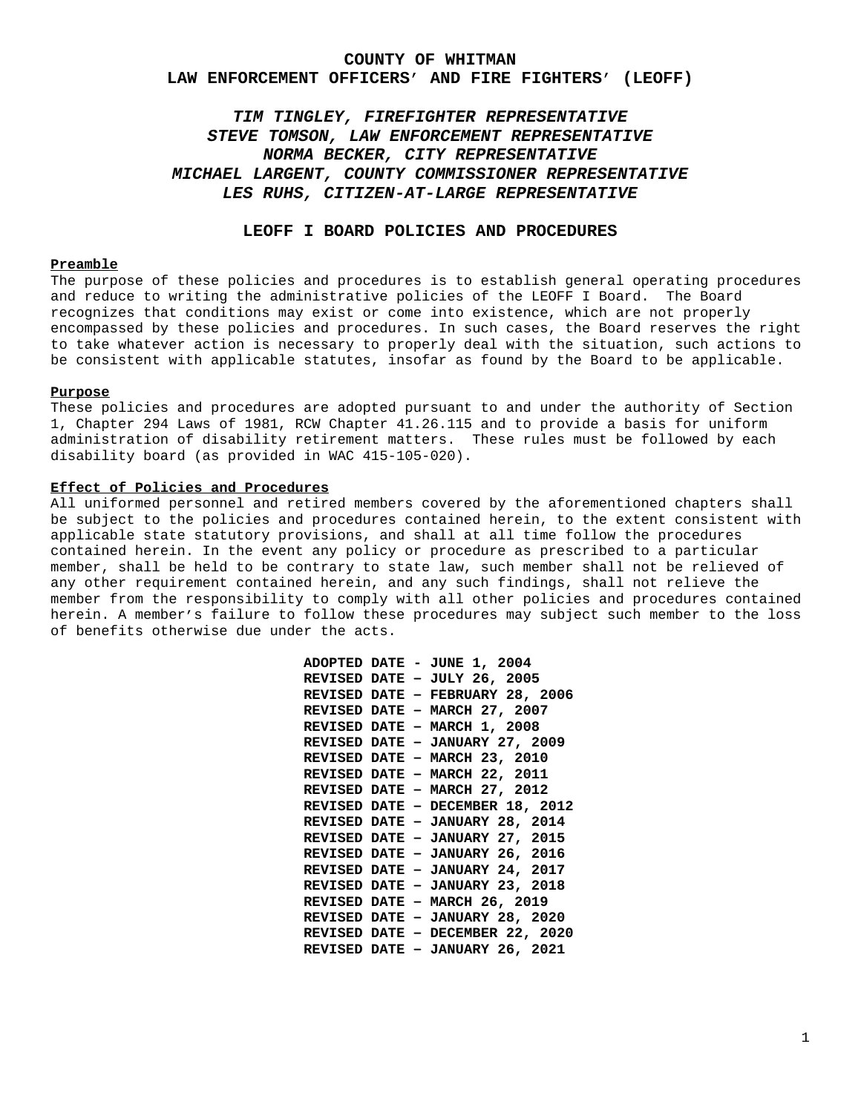#### **COUNTY OF WHITMAN**

### **LAW ENFORCEMENT OFFICERS' AND FIRE FIGHTERS' (LEOFF)**

# *TIM TINGLEY, FIREFIGHTER REPRESENTATIVE STEVE TOMSON, LAW ENFORCEMENT REPRESENTATIVE NORMA BECKER, CITY REPRESENTATIVE MICHAEL LARGENT, COUNTY COMMISSIONER REPRESENTATIVE LES RUHS, CITIZEN-AT-LARGE REPRESENTATIVE*

## **LEOFF I BOARD POLICIES AND PROCEDURES**

## **Preamble**

The purpose of these policies and procedures is to establish general operating procedures and reduce to writing the administrative policies of the LEOFF I Board. The Board recognizes that conditions may exist or come into existence, which are not properly encompassed by these policies and procedures. In such cases, the Board reserves the right to take whatever action is necessary to properly deal with the situation, such actions to be consistent with applicable statutes, insofar as found by the Board to be applicable.

#### **Purpose**

These policies and procedures are adopted pursuant to and under the authority of Section 1, Chapter 294 Laws of 1981, RCW Chapter 41.26.115 and to provide a basis for uniform administration of disability retirement matters. These rules must be followed by each disability board (as provided in WAC 415-105-020).

### **Effect of Policies and Procedures**

All uniformed personnel and retired members covered by the aforementioned chapters shall be subject to the policies and procedures contained herein, to the extent consistent with applicable state statutory provisions, and shall at all time follow the procedures contained herein. In the event any policy or procedure as prescribed to a particular member, shall be held to be contrary to state law, such member shall not be relieved of any other requirement contained herein, and any such findings, shall not relieve the member from the responsibility to comply with all other policies and procedures contained herein. A member's failure to follow these procedures may subject such member to the loss of benefits otherwise due under the acts.

|  | ADOPTED DATE - JUNE 1, 2004            |
|--|----------------------------------------|
|  | REVISED DATE - JULY 26, 2005           |
|  | REVISED DATE - FEBRUARY 28, 2006       |
|  | REVISED DATE - MARCH 27, 2007          |
|  | REVISED DATE - MARCH 1, 2008           |
|  | REVISED DATE - JANUARY 27, 2009        |
|  | REVISED DATE - MARCH 23, 2010          |
|  | <b>REVISED DATE - MARCH 22, 2011</b>   |
|  | REVISED DATE - MARCH 27, 2012          |
|  | REVISED DATE - DECEMBER 18, 2012       |
|  | REVISED DATE - JANUARY 28, 2014        |
|  | <b>REVISED DATE - JANUARY 27, 2015</b> |
|  | <b>REVISED DATE - JANUARY 26, 2016</b> |
|  | REVISED DATE - JANUARY 24, 2017        |
|  | REVISED DATE - JANUARY 23, 2018        |
|  | REVISED DATE - MARCH 26, 2019          |
|  | REVISED DATE - JANUARY 28, 2020        |
|  | REVISED DATE - DECEMBER 22, 2020       |
|  | <b>REVISED DATE - JANUARY 26, 2021</b> |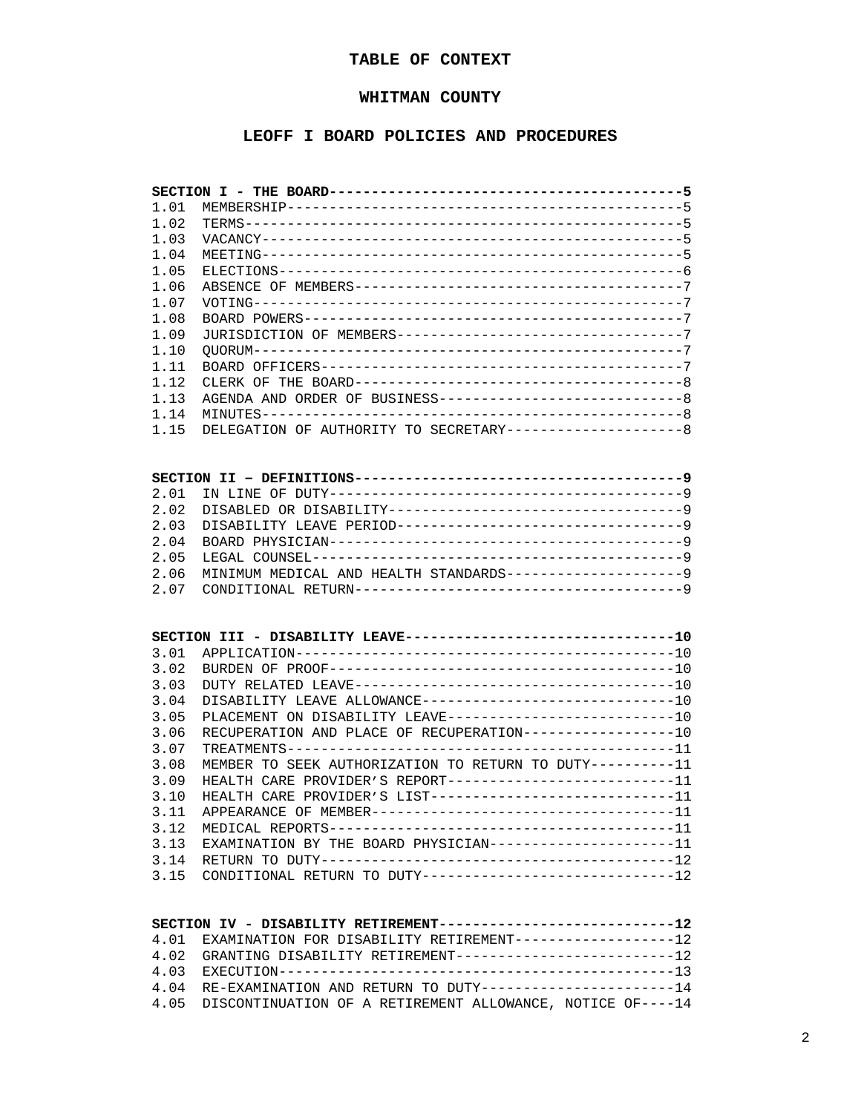# **TABLE OF CONTEXT**

## **WHITMAN COUNTY**

# **LEOFF I BOARD POLICIES AND PROCEDURES**

| 1.01 |                                                                  |  |
|------|------------------------------------------------------------------|--|
| 1.02 |                                                                  |  |
| 1.03 |                                                                  |  |
| 1.04 |                                                                  |  |
| 1.05 |                                                                  |  |
| 1.06 |                                                                  |  |
| 1.07 |                                                                  |  |
| 1.08 |                                                                  |  |
| 1.09 | JURISDICTION OF MEMBERS---------------------------------7        |  |
| 1.10 |                                                                  |  |
| 1.11 |                                                                  |  |
| 1.12 |                                                                  |  |
| 1.13 | AGENDA AND ORDER OF BUSINESS----------------------------8        |  |
| 1.14 |                                                                  |  |
| 1.15 | DELEGATION OF AUTHORITY TO SECRETARY--------------------8        |  |
|      |                                                                  |  |
|      |                                                                  |  |
|      |                                                                  |  |
| 2.01 |                                                                  |  |
| 2.02 | DISABLED OR DISABILITY----------------------------------9        |  |
| 2.03 | DISABILITY LEAVE PERIOD---------------------------------9        |  |
| 2.04 |                                                                  |  |
| 2.05 |                                                                  |  |
| 2.06 | MINIMUM MEDICAL AND HEALTH STANDARDS--------------------9        |  |
| 2.07 |                                                                  |  |
|      |                                                                  |  |
|      |                                                                  |  |
|      | SECTION III - DISABILITY LEAVE--------------------------------10 |  |
| 3.01 |                                                                  |  |
| 3.02 |                                                                  |  |
| 3.03 |                                                                  |  |
| 3.04 | DISABILITY LEAVE ALLOWANCE------------------------------10       |  |
| 3.05 | PLACEMENT ON DISABILITY LEAVE---------------------------10       |  |
| 3.06 | RECUPERATION AND PLACE OF RECUPERATION-----------------10        |  |
| 3.07 |                                                                  |  |
| 3.08 | MEMBER TO SEEK AUTHORIZATION TO RETURN TO DUTY----------11       |  |
| 3.09 | HEALTH CARE PROVIDER'S REPORT--------------------------11        |  |
| 3.10 | HEALTH CARE PROVIDER'S LIST-----------------------------11       |  |
| 3.11 |                                                                  |  |
| 3.12 |                                                                  |  |
| 3.13 | EXAMINATION BY THE BOARD PHYSICIAN---------------------11        |  |
| 3.14 |                                                                  |  |
| 3.15 | CONDITIONAL RETURN TO DUTY-----------------------------12        |  |
|      |                                                                  |  |

| SECTION IV - DISABILITY RETIREMENT----------------------------12 |  |
|------------------------------------------------------------------|--|
| 4.01 EXAMINATION FOR DISABILITY RETIREMENT------------------12   |  |
| 4.02 GRANTING DISABILITY RETIREMENT--------------------------12  |  |
|                                                                  |  |
| 4.04 RE-EXAMINATION AND RETURN TO DUTY----------------------14   |  |
| 4.05 DISCONTINUATION OF A RETIREMENT ALLOWANCE, NOTICE OF----14  |  |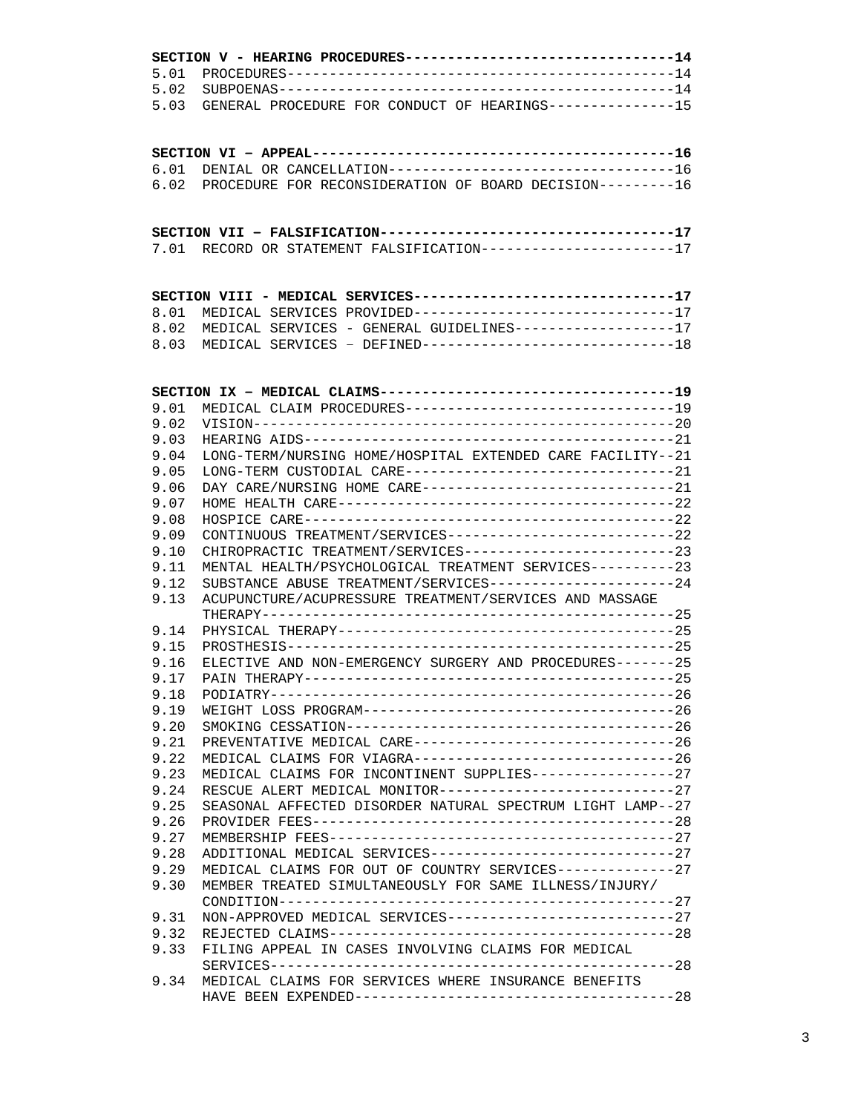| 5.01<br>5.02<br>GENERAL PROCEDURE FOR CONDUCT OF HEARINGS--------------15<br>5.03<br>DENIAL OR CANCELLATION---------------------------------16<br>6.01<br>PROCEDURE FOR RECONSIDERATION OF BOARD DECISION---------16<br>6.02<br>SECTION VII - FALSIFICATION-----------------------------------17<br>7.01 RECORD OR STATEMENT FALSIFICATION---------------------17<br>SECTION VIII - MEDICAL SERVICES-------------------------------17<br>MEDICAL SERVICES PROVIDED------------------------------17<br>8.01<br>MEDICAL SERVICES - GENERAL GUIDELINES------------------17<br>8.02<br>MEDICAL SERVICES - DEFINED-----------------------------18<br>8.03<br>SECTION IX - MEDICAL CLAIMS-----------------------------------19<br>MEDICAL CLAIM PROCEDURES--------------------------------19<br>9.01<br>9.02<br>9.03<br>LONG-TERM/NURSING HOME/HOSPITAL EXTENDED CARE FACILITY--21<br>9.04<br>LONG-TERM CUSTODIAL CARE--------------------------------21<br>9.05<br>DAY CARE/NURSING HOME CARE------------------------------21<br>9.06<br>9.07<br>9.08<br>CONTINUOUS TREATMENT/SERVICES---------------------------22<br>9.09<br>CHIROPRACTIC TREATMENT/SERVICES------------------------23<br>9.10<br>MENTAL HEALTH/PSYCHOLOGICAL TREATMENT SERVICES----------23<br>9.11<br>SUBSTANCE ABUSE TREATMENT/SERVICES---------------------24<br>9.12<br>ACUPUNCTURE/ACUPRESSURE TREATMENT/SERVICES AND MASSAGE<br>9.13<br>9.14<br>9.15<br>ELECTIVE AND NON-EMERGENCY SURGERY AND PROCEDURES-------25<br>9.16<br>9.17<br>9.18<br>9.19<br>9.20<br>PREVENTATIVE MEDICAL CARE-------------------------------26<br>9.21<br>MEDICAL CLAIMS FOR VIAGRA------------------------------26<br>9.22<br>MEDICAL CLAIMS FOR INCONTINENT SUPPLIES-----------------27<br>9.23<br>RESCUE ALERT MEDICAL MONITOR---------------------------27<br>9.24<br>9.25<br>SEASONAL AFFECTED DISORDER NATURAL SPECTRUM LIGHT LAMP--27<br>9.26<br>9.27<br>ADDITIONAL MEDICAL SERVICES-----------------------------27<br>9.28<br>MEDICAL CLAIMS FOR OUT OF COUNTRY SERVICES-------------27<br>9.29<br>MEMBER TREATED SIMULTANEOUSLY FOR SAME ILLNESS/INJURY/<br>9.30<br>NON-APPROVED MEDICAL SERVICES---------------------------27<br>9.31<br>9.32<br>FILING APPEAL IN CASES INVOLVING CLAIMS FOR MEDICAL<br>9.33<br>MEDICAL CLAIMS FOR SERVICES WHERE INSURANCE BENEFITS<br>9.34 | SECTION V - HEARING PROCEDURES-------------------------------14 |  |
|--------------------------------------------------------------------------------------------------------------------------------------------------------------------------------------------------------------------------------------------------------------------------------------------------------------------------------------------------------------------------------------------------------------------------------------------------------------------------------------------------------------------------------------------------------------------------------------------------------------------------------------------------------------------------------------------------------------------------------------------------------------------------------------------------------------------------------------------------------------------------------------------------------------------------------------------------------------------------------------------------------------------------------------------------------------------------------------------------------------------------------------------------------------------------------------------------------------------------------------------------------------------------------------------------------------------------------------------------------------------------------------------------------------------------------------------------------------------------------------------------------------------------------------------------------------------------------------------------------------------------------------------------------------------------------------------------------------------------------------------------------------------------------------------------------------------------------------------------------------------------------------------------------------------------------------------------------------------------------------------------------------------------------------------------------------------------------------------------------------------------------------------------------------------------------------------------------------------------------------------------------------------------------------------------------------------------------------|-----------------------------------------------------------------|--|
|                                                                                                                                                                                                                                                                                                                                                                                                                                                                                                                                                                                                                                                                                                                                                                                                                                                                                                                                                                                                                                                                                                                                                                                                                                                                                                                                                                                                                                                                                                                                                                                                                                                                                                                                                                                                                                                                                                                                                                                                                                                                                                                                                                                                                                                                                                                                      |                                                                 |  |
|                                                                                                                                                                                                                                                                                                                                                                                                                                                                                                                                                                                                                                                                                                                                                                                                                                                                                                                                                                                                                                                                                                                                                                                                                                                                                                                                                                                                                                                                                                                                                                                                                                                                                                                                                                                                                                                                                                                                                                                                                                                                                                                                                                                                                                                                                                                                      |                                                                 |  |
|                                                                                                                                                                                                                                                                                                                                                                                                                                                                                                                                                                                                                                                                                                                                                                                                                                                                                                                                                                                                                                                                                                                                                                                                                                                                                                                                                                                                                                                                                                                                                                                                                                                                                                                                                                                                                                                                                                                                                                                                                                                                                                                                                                                                                                                                                                                                      |                                                                 |  |
|                                                                                                                                                                                                                                                                                                                                                                                                                                                                                                                                                                                                                                                                                                                                                                                                                                                                                                                                                                                                                                                                                                                                                                                                                                                                                                                                                                                                                                                                                                                                                                                                                                                                                                                                                                                                                                                                                                                                                                                                                                                                                                                                                                                                                                                                                                                                      |                                                                 |  |
|                                                                                                                                                                                                                                                                                                                                                                                                                                                                                                                                                                                                                                                                                                                                                                                                                                                                                                                                                                                                                                                                                                                                                                                                                                                                                                                                                                                                                                                                                                                                                                                                                                                                                                                                                                                                                                                                                                                                                                                                                                                                                                                                                                                                                                                                                                                                      |                                                                 |  |
|                                                                                                                                                                                                                                                                                                                                                                                                                                                                                                                                                                                                                                                                                                                                                                                                                                                                                                                                                                                                                                                                                                                                                                                                                                                                                                                                                                                                                                                                                                                                                                                                                                                                                                                                                                                                                                                                                                                                                                                                                                                                                                                                                                                                                                                                                                                                      |                                                                 |  |
|                                                                                                                                                                                                                                                                                                                                                                                                                                                                                                                                                                                                                                                                                                                                                                                                                                                                                                                                                                                                                                                                                                                                                                                                                                                                                                                                                                                                                                                                                                                                                                                                                                                                                                                                                                                                                                                                                                                                                                                                                                                                                                                                                                                                                                                                                                                                      |                                                                 |  |
|                                                                                                                                                                                                                                                                                                                                                                                                                                                                                                                                                                                                                                                                                                                                                                                                                                                                                                                                                                                                                                                                                                                                                                                                                                                                                                                                                                                                                                                                                                                                                                                                                                                                                                                                                                                                                                                                                                                                                                                                                                                                                                                                                                                                                                                                                                                                      |                                                                 |  |
|                                                                                                                                                                                                                                                                                                                                                                                                                                                                                                                                                                                                                                                                                                                                                                                                                                                                                                                                                                                                                                                                                                                                                                                                                                                                                                                                                                                                                                                                                                                                                                                                                                                                                                                                                                                                                                                                                                                                                                                                                                                                                                                                                                                                                                                                                                                                      |                                                                 |  |
|                                                                                                                                                                                                                                                                                                                                                                                                                                                                                                                                                                                                                                                                                                                                                                                                                                                                                                                                                                                                                                                                                                                                                                                                                                                                                                                                                                                                                                                                                                                                                                                                                                                                                                                                                                                                                                                                                                                                                                                                                                                                                                                                                                                                                                                                                                                                      |                                                                 |  |
|                                                                                                                                                                                                                                                                                                                                                                                                                                                                                                                                                                                                                                                                                                                                                                                                                                                                                                                                                                                                                                                                                                                                                                                                                                                                                                                                                                                                                                                                                                                                                                                                                                                                                                                                                                                                                                                                                                                                                                                                                                                                                                                                                                                                                                                                                                                                      |                                                                 |  |
|                                                                                                                                                                                                                                                                                                                                                                                                                                                                                                                                                                                                                                                                                                                                                                                                                                                                                                                                                                                                                                                                                                                                                                                                                                                                                                                                                                                                                                                                                                                                                                                                                                                                                                                                                                                                                                                                                                                                                                                                                                                                                                                                                                                                                                                                                                                                      |                                                                 |  |
|                                                                                                                                                                                                                                                                                                                                                                                                                                                                                                                                                                                                                                                                                                                                                                                                                                                                                                                                                                                                                                                                                                                                                                                                                                                                                                                                                                                                                                                                                                                                                                                                                                                                                                                                                                                                                                                                                                                                                                                                                                                                                                                                                                                                                                                                                                                                      |                                                                 |  |
|                                                                                                                                                                                                                                                                                                                                                                                                                                                                                                                                                                                                                                                                                                                                                                                                                                                                                                                                                                                                                                                                                                                                                                                                                                                                                                                                                                                                                                                                                                                                                                                                                                                                                                                                                                                                                                                                                                                                                                                                                                                                                                                                                                                                                                                                                                                                      |                                                                 |  |
|                                                                                                                                                                                                                                                                                                                                                                                                                                                                                                                                                                                                                                                                                                                                                                                                                                                                                                                                                                                                                                                                                                                                                                                                                                                                                                                                                                                                                                                                                                                                                                                                                                                                                                                                                                                                                                                                                                                                                                                                                                                                                                                                                                                                                                                                                                                                      |                                                                 |  |
|                                                                                                                                                                                                                                                                                                                                                                                                                                                                                                                                                                                                                                                                                                                                                                                                                                                                                                                                                                                                                                                                                                                                                                                                                                                                                                                                                                                                                                                                                                                                                                                                                                                                                                                                                                                                                                                                                                                                                                                                                                                                                                                                                                                                                                                                                                                                      |                                                                 |  |
|                                                                                                                                                                                                                                                                                                                                                                                                                                                                                                                                                                                                                                                                                                                                                                                                                                                                                                                                                                                                                                                                                                                                                                                                                                                                                                                                                                                                                                                                                                                                                                                                                                                                                                                                                                                                                                                                                                                                                                                                                                                                                                                                                                                                                                                                                                                                      |                                                                 |  |
|                                                                                                                                                                                                                                                                                                                                                                                                                                                                                                                                                                                                                                                                                                                                                                                                                                                                                                                                                                                                                                                                                                                                                                                                                                                                                                                                                                                                                                                                                                                                                                                                                                                                                                                                                                                                                                                                                                                                                                                                                                                                                                                                                                                                                                                                                                                                      |                                                                 |  |
|                                                                                                                                                                                                                                                                                                                                                                                                                                                                                                                                                                                                                                                                                                                                                                                                                                                                                                                                                                                                                                                                                                                                                                                                                                                                                                                                                                                                                                                                                                                                                                                                                                                                                                                                                                                                                                                                                                                                                                                                                                                                                                                                                                                                                                                                                                                                      |                                                                 |  |
|                                                                                                                                                                                                                                                                                                                                                                                                                                                                                                                                                                                                                                                                                                                                                                                                                                                                                                                                                                                                                                                                                                                                                                                                                                                                                                                                                                                                                                                                                                                                                                                                                                                                                                                                                                                                                                                                                                                                                                                                                                                                                                                                                                                                                                                                                                                                      |                                                                 |  |
|                                                                                                                                                                                                                                                                                                                                                                                                                                                                                                                                                                                                                                                                                                                                                                                                                                                                                                                                                                                                                                                                                                                                                                                                                                                                                                                                                                                                                                                                                                                                                                                                                                                                                                                                                                                                                                                                                                                                                                                                                                                                                                                                                                                                                                                                                                                                      |                                                                 |  |
|                                                                                                                                                                                                                                                                                                                                                                                                                                                                                                                                                                                                                                                                                                                                                                                                                                                                                                                                                                                                                                                                                                                                                                                                                                                                                                                                                                                                                                                                                                                                                                                                                                                                                                                                                                                                                                                                                                                                                                                                                                                                                                                                                                                                                                                                                                                                      |                                                                 |  |
|                                                                                                                                                                                                                                                                                                                                                                                                                                                                                                                                                                                                                                                                                                                                                                                                                                                                                                                                                                                                                                                                                                                                                                                                                                                                                                                                                                                                                                                                                                                                                                                                                                                                                                                                                                                                                                                                                                                                                                                                                                                                                                                                                                                                                                                                                                                                      |                                                                 |  |
|                                                                                                                                                                                                                                                                                                                                                                                                                                                                                                                                                                                                                                                                                                                                                                                                                                                                                                                                                                                                                                                                                                                                                                                                                                                                                                                                                                                                                                                                                                                                                                                                                                                                                                                                                                                                                                                                                                                                                                                                                                                                                                                                                                                                                                                                                                                                      |                                                                 |  |
|                                                                                                                                                                                                                                                                                                                                                                                                                                                                                                                                                                                                                                                                                                                                                                                                                                                                                                                                                                                                                                                                                                                                                                                                                                                                                                                                                                                                                                                                                                                                                                                                                                                                                                                                                                                                                                                                                                                                                                                                                                                                                                                                                                                                                                                                                                                                      |                                                                 |  |
|                                                                                                                                                                                                                                                                                                                                                                                                                                                                                                                                                                                                                                                                                                                                                                                                                                                                                                                                                                                                                                                                                                                                                                                                                                                                                                                                                                                                                                                                                                                                                                                                                                                                                                                                                                                                                                                                                                                                                                                                                                                                                                                                                                                                                                                                                                                                      |                                                                 |  |
|                                                                                                                                                                                                                                                                                                                                                                                                                                                                                                                                                                                                                                                                                                                                                                                                                                                                                                                                                                                                                                                                                                                                                                                                                                                                                                                                                                                                                                                                                                                                                                                                                                                                                                                                                                                                                                                                                                                                                                                                                                                                                                                                                                                                                                                                                                                                      |                                                                 |  |
|                                                                                                                                                                                                                                                                                                                                                                                                                                                                                                                                                                                                                                                                                                                                                                                                                                                                                                                                                                                                                                                                                                                                                                                                                                                                                                                                                                                                                                                                                                                                                                                                                                                                                                                                                                                                                                                                                                                                                                                                                                                                                                                                                                                                                                                                                                                                      |                                                                 |  |
|                                                                                                                                                                                                                                                                                                                                                                                                                                                                                                                                                                                                                                                                                                                                                                                                                                                                                                                                                                                                                                                                                                                                                                                                                                                                                                                                                                                                                                                                                                                                                                                                                                                                                                                                                                                                                                                                                                                                                                                                                                                                                                                                                                                                                                                                                                                                      |                                                                 |  |
|                                                                                                                                                                                                                                                                                                                                                                                                                                                                                                                                                                                                                                                                                                                                                                                                                                                                                                                                                                                                                                                                                                                                                                                                                                                                                                                                                                                                                                                                                                                                                                                                                                                                                                                                                                                                                                                                                                                                                                                                                                                                                                                                                                                                                                                                                                                                      |                                                                 |  |
|                                                                                                                                                                                                                                                                                                                                                                                                                                                                                                                                                                                                                                                                                                                                                                                                                                                                                                                                                                                                                                                                                                                                                                                                                                                                                                                                                                                                                                                                                                                                                                                                                                                                                                                                                                                                                                                                                                                                                                                                                                                                                                                                                                                                                                                                                                                                      |                                                                 |  |
|                                                                                                                                                                                                                                                                                                                                                                                                                                                                                                                                                                                                                                                                                                                                                                                                                                                                                                                                                                                                                                                                                                                                                                                                                                                                                                                                                                                                                                                                                                                                                                                                                                                                                                                                                                                                                                                                                                                                                                                                                                                                                                                                                                                                                                                                                                                                      |                                                                 |  |
|                                                                                                                                                                                                                                                                                                                                                                                                                                                                                                                                                                                                                                                                                                                                                                                                                                                                                                                                                                                                                                                                                                                                                                                                                                                                                                                                                                                                                                                                                                                                                                                                                                                                                                                                                                                                                                                                                                                                                                                                                                                                                                                                                                                                                                                                                                                                      |                                                                 |  |
|                                                                                                                                                                                                                                                                                                                                                                                                                                                                                                                                                                                                                                                                                                                                                                                                                                                                                                                                                                                                                                                                                                                                                                                                                                                                                                                                                                                                                                                                                                                                                                                                                                                                                                                                                                                                                                                                                                                                                                                                                                                                                                                                                                                                                                                                                                                                      |                                                                 |  |
|                                                                                                                                                                                                                                                                                                                                                                                                                                                                                                                                                                                                                                                                                                                                                                                                                                                                                                                                                                                                                                                                                                                                                                                                                                                                                                                                                                                                                                                                                                                                                                                                                                                                                                                                                                                                                                                                                                                                                                                                                                                                                                                                                                                                                                                                                                                                      |                                                                 |  |
|                                                                                                                                                                                                                                                                                                                                                                                                                                                                                                                                                                                                                                                                                                                                                                                                                                                                                                                                                                                                                                                                                                                                                                                                                                                                                                                                                                                                                                                                                                                                                                                                                                                                                                                                                                                                                                                                                                                                                                                                                                                                                                                                                                                                                                                                                                                                      |                                                                 |  |
|                                                                                                                                                                                                                                                                                                                                                                                                                                                                                                                                                                                                                                                                                                                                                                                                                                                                                                                                                                                                                                                                                                                                                                                                                                                                                                                                                                                                                                                                                                                                                                                                                                                                                                                                                                                                                                                                                                                                                                                                                                                                                                                                                                                                                                                                                                                                      |                                                                 |  |
|                                                                                                                                                                                                                                                                                                                                                                                                                                                                                                                                                                                                                                                                                                                                                                                                                                                                                                                                                                                                                                                                                                                                                                                                                                                                                                                                                                                                                                                                                                                                                                                                                                                                                                                                                                                                                                                                                                                                                                                                                                                                                                                                                                                                                                                                                                                                      |                                                                 |  |
|                                                                                                                                                                                                                                                                                                                                                                                                                                                                                                                                                                                                                                                                                                                                                                                                                                                                                                                                                                                                                                                                                                                                                                                                                                                                                                                                                                                                                                                                                                                                                                                                                                                                                                                                                                                                                                                                                                                                                                                                                                                                                                                                                                                                                                                                                                                                      |                                                                 |  |
|                                                                                                                                                                                                                                                                                                                                                                                                                                                                                                                                                                                                                                                                                                                                                                                                                                                                                                                                                                                                                                                                                                                                                                                                                                                                                                                                                                                                                                                                                                                                                                                                                                                                                                                                                                                                                                                                                                                                                                                                                                                                                                                                                                                                                                                                                                                                      |                                                                 |  |
|                                                                                                                                                                                                                                                                                                                                                                                                                                                                                                                                                                                                                                                                                                                                                                                                                                                                                                                                                                                                                                                                                                                                                                                                                                                                                                                                                                                                                                                                                                                                                                                                                                                                                                                                                                                                                                                                                                                                                                                                                                                                                                                                                                                                                                                                                                                                      |                                                                 |  |
|                                                                                                                                                                                                                                                                                                                                                                                                                                                                                                                                                                                                                                                                                                                                                                                                                                                                                                                                                                                                                                                                                                                                                                                                                                                                                                                                                                                                                                                                                                                                                                                                                                                                                                                                                                                                                                                                                                                                                                                                                                                                                                                                                                                                                                                                                                                                      |                                                                 |  |
|                                                                                                                                                                                                                                                                                                                                                                                                                                                                                                                                                                                                                                                                                                                                                                                                                                                                                                                                                                                                                                                                                                                                                                                                                                                                                                                                                                                                                                                                                                                                                                                                                                                                                                                                                                                                                                                                                                                                                                                                                                                                                                                                                                                                                                                                                                                                      |                                                                 |  |
|                                                                                                                                                                                                                                                                                                                                                                                                                                                                                                                                                                                                                                                                                                                                                                                                                                                                                                                                                                                                                                                                                                                                                                                                                                                                                                                                                                                                                                                                                                                                                                                                                                                                                                                                                                                                                                                                                                                                                                                                                                                                                                                                                                                                                                                                                                                                      |                                                                 |  |
|                                                                                                                                                                                                                                                                                                                                                                                                                                                                                                                                                                                                                                                                                                                                                                                                                                                                                                                                                                                                                                                                                                                                                                                                                                                                                                                                                                                                                                                                                                                                                                                                                                                                                                                                                                                                                                                                                                                                                                                                                                                                                                                                                                                                                                                                                                                                      |                                                                 |  |
|                                                                                                                                                                                                                                                                                                                                                                                                                                                                                                                                                                                                                                                                                                                                                                                                                                                                                                                                                                                                                                                                                                                                                                                                                                                                                                                                                                                                                                                                                                                                                                                                                                                                                                                                                                                                                                                                                                                                                                                                                                                                                                                                                                                                                                                                                                                                      |                                                                 |  |
|                                                                                                                                                                                                                                                                                                                                                                                                                                                                                                                                                                                                                                                                                                                                                                                                                                                                                                                                                                                                                                                                                                                                                                                                                                                                                                                                                                                                                                                                                                                                                                                                                                                                                                                                                                                                                                                                                                                                                                                                                                                                                                                                                                                                                                                                                                                                      |                                                                 |  |
|                                                                                                                                                                                                                                                                                                                                                                                                                                                                                                                                                                                                                                                                                                                                                                                                                                                                                                                                                                                                                                                                                                                                                                                                                                                                                                                                                                                                                                                                                                                                                                                                                                                                                                                                                                                                                                                                                                                                                                                                                                                                                                                                                                                                                                                                                                                                      |                                                                 |  |
|                                                                                                                                                                                                                                                                                                                                                                                                                                                                                                                                                                                                                                                                                                                                                                                                                                                                                                                                                                                                                                                                                                                                                                                                                                                                                                                                                                                                                                                                                                                                                                                                                                                                                                                                                                                                                                                                                                                                                                                                                                                                                                                                                                                                                                                                                                                                      |                                                                 |  |
|                                                                                                                                                                                                                                                                                                                                                                                                                                                                                                                                                                                                                                                                                                                                                                                                                                                                                                                                                                                                                                                                                                                                                                                                                                                                                                                                                                                                                                                                                                                                                                                                                                                                                                                                                                                                                                                                                                                                                                                                                                                                                                                                                                                                                                                                                                                                      |                                                                 |  |
|                                                                                                                                                                                                                                                                                                                                                                                                                                                                                                                                                                                                                                                                                                                                                                                                                                                                                                                                                                                                                                                                                                                                                                                                                                                                                                                                                                                                                                                                                                                                                                                                                                                                                                                                                                                                                                                                                                                                                                                                                                                                                                                                                                                                                                                                                                                                      |                                                                 |  |
|                                                                                                                                                                                                                                                                                                                                                                                                                                                                                                                                                                                                                                                                                                                                                                                                                                                                                                                                                                                                                                                                                                                                                                                                                                                                                                                                                                                                                                                                                                                                                                                                                                                                                                                                                                                                                                                                                                                                                                                                                                                                                                                                                                                                                                                                                                                                      |                                                                 |  |
|                                                                                                                                                                                                                                                                                                                                                                                                                                                                                                                                                                                                                                                                                                                                                                                                                                                                                                                                                                                                                                                                                                                                                                                                                                                                                                                                                                                                                                                                                                                                                                                                                                                                                                                                                                                                                                                                                                                                                                                                                                                                                                                                                                                                                                                                                                                                      |                                                                 |  |
|                                                                                                                                                                                                                                                                                                                                                                                                                                                                                                                                                                                                                                                                                                                                                                                                                                                                                                                                                                                                                                                                                                                                                                                                                                                                                                                                                                                                                                                                                                                                                                                                                                                                                                                                                                                                                                                                                                                                                                                                                                                                                                                                                                                                                                                                                                                                      |                                                                 |  |
|                                                                                                                                                                                                                                                                                                                                                                                                                                                                                                                                                                                                                                                                                                                                                                                                                                                                                                                                                                                                                                                                                                                                                                                                                                                                                                                                                                                                                                                                                                                                                                                                                                                                                                                                                                                                                                                                                                                                                                                                                                                                                                                                                                                                                                                                                                                                      |                                                                 |  |
|                                                                                                                                                                                                                                                                                                                                                                                                                                                                                                                                                                                                                                                                                                                                                                                                                                                                                                                                                                                                                                                                                                                                                                                                                                                                                                                                                                                                                                                                                                                                                                                                                                                                                                                                                                                                                                                                                                                                                                                                                                                                                                                                                                                                                                                                                                                                      |                                                                 |  |
|                                                                                                                                                                                                                                                                                                                                                                                                                                                                                                                                                                                                                                                                                                                                                                                                                                                                                                                                                                                                                                                                                                                                                                                                                                                                                                                                                                                                                                                                                                                                                                                                                                                                                                                                                                                                                                                                                                                                                                                                                                                                                                                                                                                                                                                                                                                                      |                                                                 |  |
|                                                                                                                                                                                                                                                                                                                                                                                                                                                                                                                                                                                                                                                                                                                                                                                                                                                                                                                                                                                                                                                                                                                                                                                                                                                                                                                                                                                                                                                                                                                                                                                                                                                                                                                                                                                                                                                                                                                                                                                                                                                                                                                                                                                                                                                                                                                                      |                                                                 |  |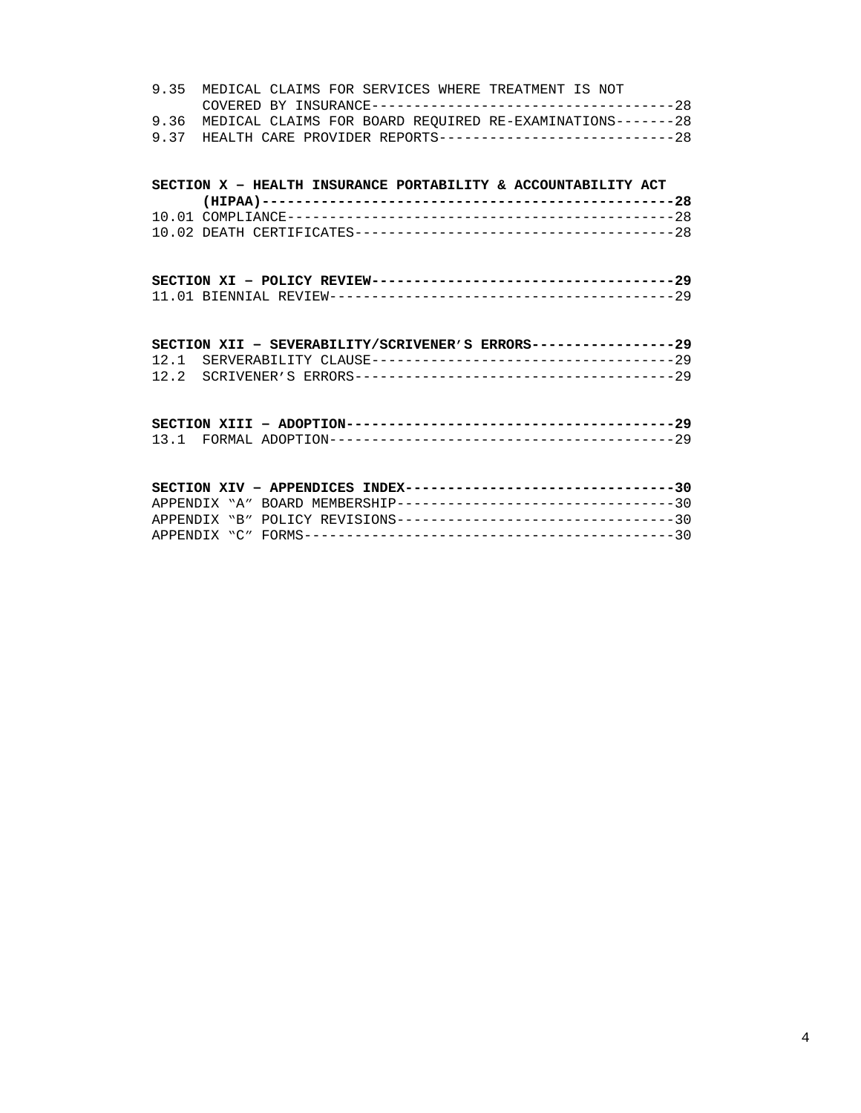|  |  |  | 9.35 MEDICAL CLAIMS FOR SERVICES WHERE TREATMENT IS NOT          |  |  |
|--|--|--|------------------------------------------------------------------|--|--|
|  |  |  |                                                                  |  |  |
|  |  |  | 9.36 MEDICAL CLAIMS FOR BOARD REOUIRED RE-EXAMINATIONS-------28  |  |  |
|  |  |  | 9.37 HEALTH CARE PROVIDER REPORTS-----------------------------28 |  |  |

## **SECTION X – HEALTH INSURANCE PORTABILITY & ACCOUNTABILITY ACT**

| SECTION XII - SEVERABILITY/SCRIVENER'S ERRORS-----------------29 |  |
|------------------------------------------------------------------|--|
|                                                                  |  |
|                                                                  |  |

|  | SECTION XIV - APPENDICES INDEX---------------------------------30 |  |
|--|-------------------------------------------------------------------|--|
|  |                                                                   |  |
|  | APPENDIX "A" BOARD MEMBERSHIP---------------------------------30  |  |
|  |                                                                   |  |
|  |                                                                   |  |
|  |                                                                   |  |
|  |                                                                   |  |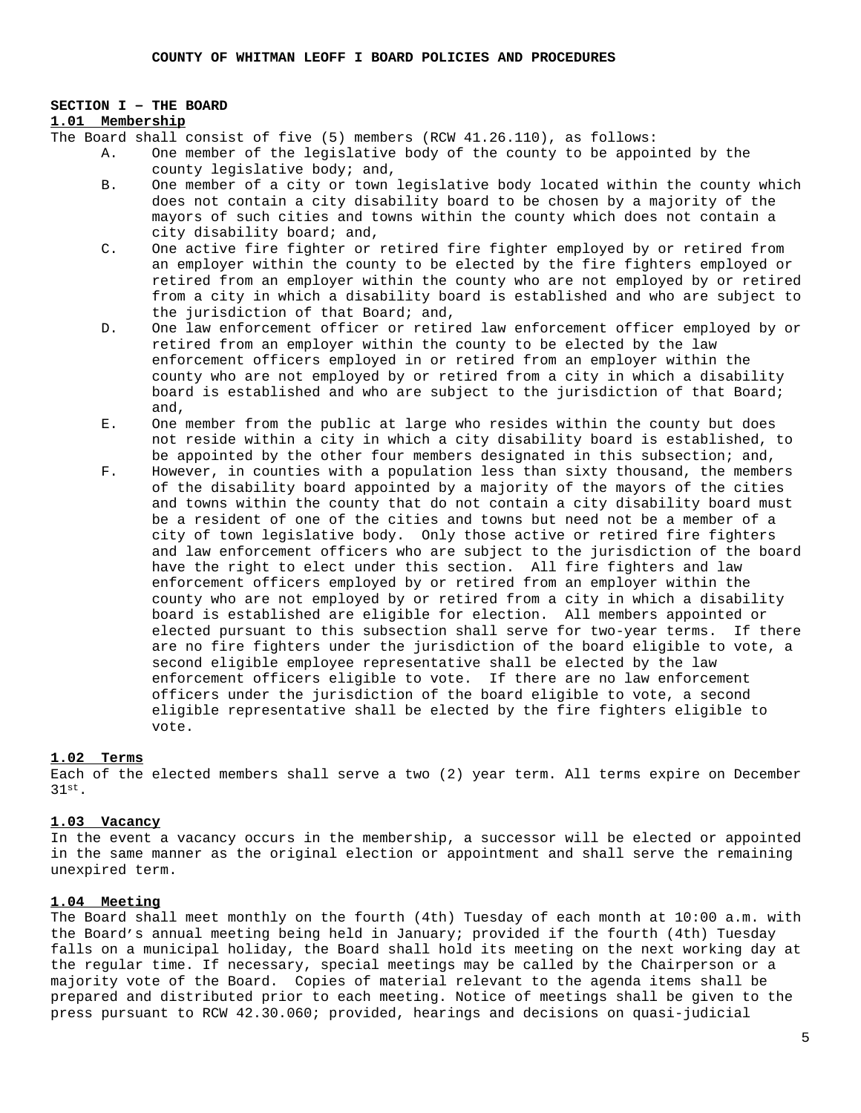#### **SECTION I – THE BOARD**

## **1.01 Membership**

The Board shall consist of five (5) members (RCW 41.26.110), as follows:

- A. One member of the legislative body of the county to be appointed by the county legislative body; and,
- B. One member of a city or town legislative body located within the county which does not contain a city disability board to be chosen by a majority of the mayors of such cities and towns within the county which does not contain a city disability board; and,
- C. One active fire fighter or retired fire fighter employed by or retired from an employer within the county to be elected by the fire fighters employed or retired from an employer within the county who are not employed by or retired from a city in which a disability board is established and who are subject to the jurisdiction of that Board; and,
- D. One law enforcement officer or retired law enforcement officer employed by or retired from an employer within the county to be elected by the law enforcement officers employed in or retired from an employer within the county who are not employed by or retired from a city in which a disability board is established and who are subject to the jurisdiction of that Board; and,
- E. One member from the public at large who resides within the county but does not reside within a city in which a city disability board is established, to be appointed by the other four members designated in this subsection; and,
- F. However, in counties with a population less than sixty thousand, the members of the disability board appointed by a majority of the mayors of the cities and towns within the county that do not contain a city disability board must be a resident of one of the cities and towns but need not be a member of a city of town legislative body. Only those active or retired fire fighters and law enforcement officers who are subject to the jurisdiction of the board have the right to elect under this section. All fire fighters and law enforcement officers employed by or retired from an employer within the county who are not employed by or retired from a city in which a disability board is established are eligible for election. All members appointed or elected pursuant to this subsection shall serve for two-year terms. If there are no fire fighters under the jurisdiction of the board eligible to vote, a second eligible employee representative shall be elected by the law enforcement officers eligible to vote. If there are no law enforcement officers under the jurisdiction of the board eligible to vote, a second eligible representative shall be elected by the fire fighters eligible to vote.

#### **1.02 Terms**

Each of the elected members shall serve a two (2) year term. All terms expire on December 31st.

#### **1.03 Vacancy**

In the event a vacancy occurs in the membership, a successor will be elected or appointed in the same manner as the original election or appointment and shall serve the remaining unexpired term.

### **1.04 Meeting**

The Board shall meet monthly on the fourth (4th) Tuesday of each month at 10:00 a.m. with the Board's annual meeting being held in January; provided if the fourth (4th) Tuesday falls on a municipal holiday, the Board shall hold its meeting on the next working day at the regular time. If necessary, special meetings may be called by the Chairperson or a majority vote of the Board. Copies of material relevant to the agenda items shall be prepared and distributed prior to each meeting. Notice of meetings shall be given to the press pursuant to RCW 42.30.060; provided, hearings and decisions on quasi-judicial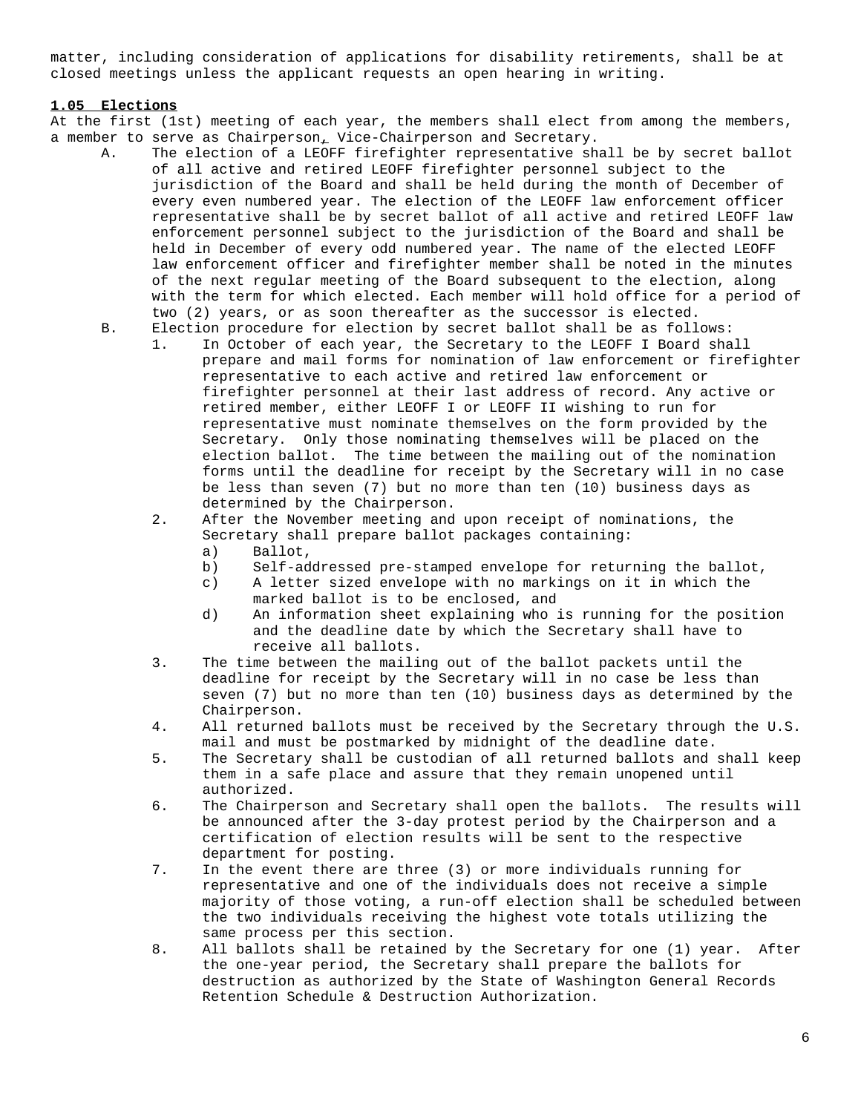matter, including consideration of applications for disability retirements, shall be at closed meetings unless the applicant requests an open hearing in writing.

## **1.05 Elections**

At the first (1st) meeting of each year, the members shall elect from among the members, a member to serve as Chairperson, Vice-Chairperson and Secretary.

- A. The election of a LEOFF firefighter representative shall be by secret ballot of all active and retired LEOFF firefighter personnel subject to the jurisdiction of the Board and shall be held during the month of December of every even numbered year. The election of the LEOFF law enforcement officer representative shall be by secret ballot of all active and retired LEOFF law enforcement personnel subject to the jurisdiction of the Board and shall be held in December of every odd numbered year. The name of the elected LEOFF law enforcement officer and firefighter member shall be noted in the minutes of the next regular meeting of the Board subsequent to the election, along with the term for which elected. Each member will hold office for a period of two (2) years, or as soon thereafter as the successor is elected.
	- B. Election procedure for election by secret ballot shall be as follows:
		- 1. In October of each year, the Secretary to the LEOFF I Board shall prepare and mail forms for nomination of law enforcement or firefighter representative to each active and retired law enforcement or firefighter personnel at their last address of record. Any active or retired member, either LEOFF I or LEOFF II wishing to run for representative must nominate themselves on the form provided by the Secretary. Only those nominating themselves will be placed on the election ballot. The time between the mailing out of the nomination forms until the deadline for receipt by the Secretary will in no case be less than seven (7) but no more than ten (10) business days as determined by the Chairperson.
		- 2. After the November meeting and upon receipt of nominations, the Secretary shall prepare ballot packages containing:
			- a) Ballot,
			- b) Self-addressed pre-stamped envelope for returning the ballot,
			- c) A letter sized envelope with no markings on it in which the marked ballot is to be enclosed, and
			- d) An information sheet explaining who is running for the position and the deadline date by which the Secretary shall have to receive all ballots.
		- 3. The time between the mailing out of the ballot packets until the deadline for receipt by the Secretary will in no case be less than seven (7) but no more than ten (10) business days as determined by the Chairperson.
		- 4. All returned ballots must be received by the Secretary through the U.S. mail and must be postmarked by midnight of the deadline date.
		- 5. The Secretary shall be custodian of all returned ballots and shall keep them in a safe place and assure that they remain unopened until authorized.
		- 6. The Chairperson and Secretary shall open the ballots. The results will be announced after the 3-day protest period by the Chairperson and a certification of election results will be sent to the respective department for posting.
		- 7. In the event there are three (3) or more individuals running for representative and one of the individuals does not receive a simple majority of those voting, a run-off election shall be scheduled between the two individuals receiving the highest vote totals utilizing the same process per this section.
		- 8. All ballots shall be retained by the Secretary for one (1) year. After the one-year period, the Secretary shall prepare the ballots for destruction as authorized by the State of Washington General Records Retention Schedule & Destruction Authorization.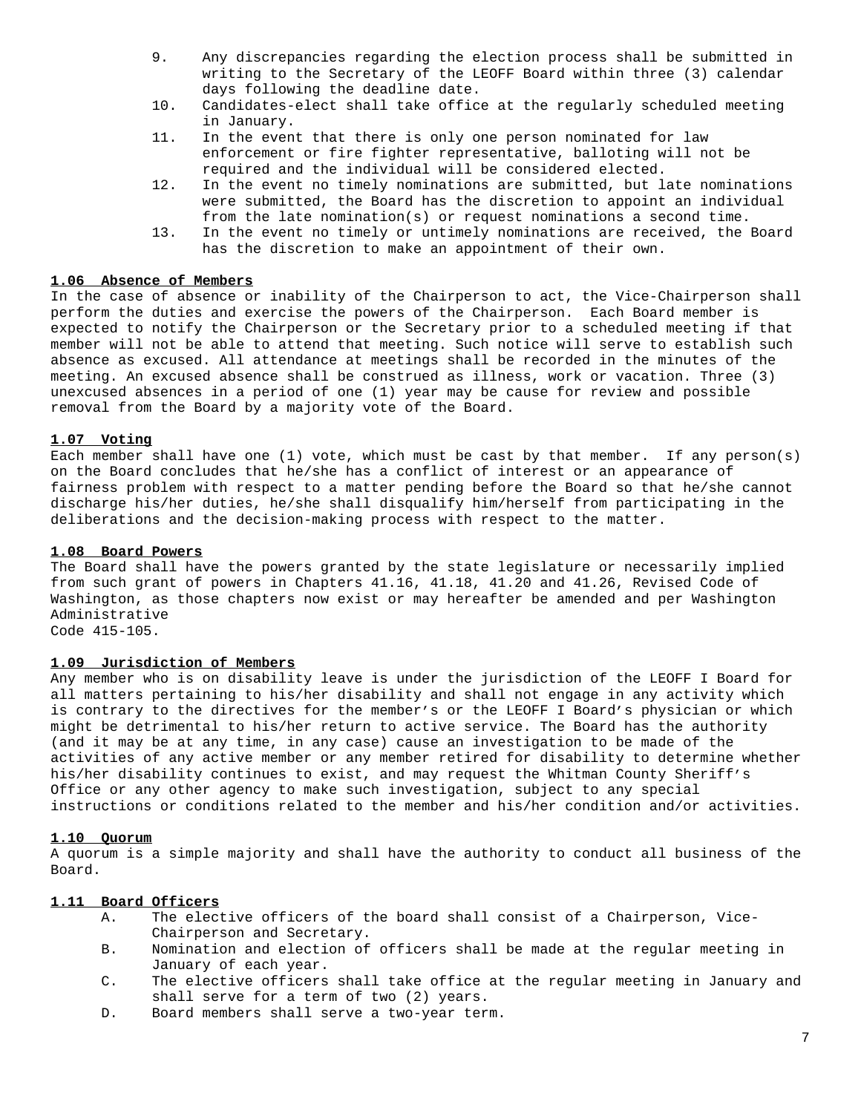- 9. Any discrepancies regarding the election process shall be submitted in writing to the Secretary of the LEOFF Board within three (3) calendar days following the deadline date.
- 10. Candidates-elect shall take office at the regularly scheduled meeting in January.
- 11. In the event that there is only one person nominated for law enforcement or fire fighter representative, balloting will not be required and the individual will be considered elected.
- 12. In the event no timely nominations are submitted, but late nominations were submitted, the Board has the discretion to appoint an individual from the late nomination(s) or request nominations a second time.
- 13. In the event no timely or untimely nominations are received, the Board has the discretion to make an appointment of their own.

### **1.06 Absence of Members**

In the case of absence or inability of the Chairperson to act, the Vice-Chairperson shall perform the duties and exercise the powers of the Chairperson. Each Board member is expected to notify the Chairperson or the Secretary prior to a scheduled meeting if that member will not be able to attend that meeting. Such notice will serve to establish such absence as excused. All attendance at meetings shall be recorded in the minutes of the meeting. An excused absence shall be construed as illness, work or vacation. Three (3) unexcused absences in a period of one (1) year may be cause for review and possible removal from the Board by a majority vote of the Board.

## **1.07 Voting**

Each member shall have one (1) vote, which must be cast by that member. If any person(s) on the Board concludes that he/she has a conflict of interest or an appearance of fairness problem with respect to a matter pending before the Board so that he/she cannot discharge his/her duties, he/she shall disqualify him/herself from participating in the deliberations and the decision-making process with respect to the matter.

### **1.08 Board Powers**

The Board shall have the powers granted by the state legislature or necessarily implied from such grant of powers in Chapters 41.16, 41.18, 41.20 and 41.26, Revised Code of Washington, as those chapters now exist or may hereafter be amended and per Washington Administrative Code 415-105.

### **1.09 Jurisdiction of Members**

Any member who is on disability leave is under the jurisdiction of the LEOFF I Board for all matters pertaining to his/her disability and shall not engage in any activity which is contrary to the directives for the member's or the LEOFF I Board's physician or which might be detrimental to his/her return to active service. The Board has the authority (and it may be at any time, in any case) cause an investigation to be made of the activities of any active member or any member retired for disability to determine whether his/her disability continues to exist, and may request the Whitman County Sheriff's Office or any other agency to make such investigation, subject to any special instructions or conditions related to the member and his/her condition and/or activities.

### **1.10 Quorum**

A quorum is a simple majority and shall have the authority to conduct all business of the Board.

## **1.11 Board Officers**

- A. The elective officers of the board shall consist of a Chairperson, Vice-Chairperson and Secretary.
- B. Nomination and election of officers shall be made at the regular meeting in January of each year.
- C. The elective officers shall take office at the regular meeting in January and shall serve for a term of two (2) years.
- D. Board members shall serve a two-year term.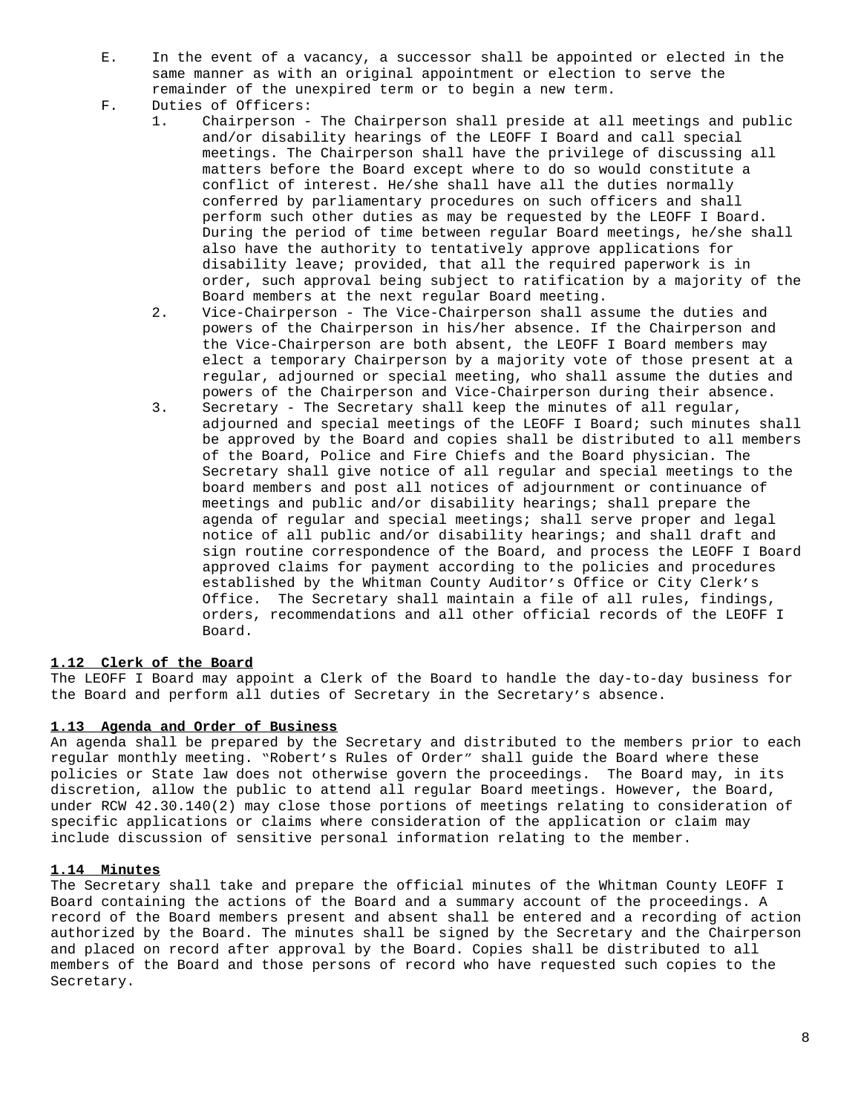- E. In the event of a vacancy, a successor shall be appointed or elected in the same manner as with an original appointment or election to serve the remainder of the unexpired term or to begin a new term.
- F. Duties of Officers:
	- 1. Chairperson The Chairperson shall preside at all meetings and public and/or disability hearings of the LEOFF I Board and call special meetings. The Chairperson shall have the privilege of discussing all matters before the Board except where to do so would constitute a conflict of interest. He/she shall have all the duties normally conferred by parliamentary procedures on such officers and shall perform such other duties as may be requested by the LEOFF I Board. During the period of time between regular Board meetings, he/she shall also have the authority to tentatively approve applications for disability leave; provided, that all the required paperwork is in order, such approval being subject to ratification by a majority of the Board members at the next regular Board meeting.
	- 2. Vice-Chairperson The Vice-Chairperson shall assume the duties and powers of the Chairperson in his/her absence. If the Chairperson and the Vice-Chairperson are both absent, the LEOFF I Board members may elect a temporary Chairperson by a majority vote of those present at a regular, adjourned or special meeting, who shall assume the duties and powers of the Chairperson and Vice-Chairperson during their absence.
	- 3. Secretary The Secretary shall keep the minutes of all regular, adjourned and special meetings of the LEOFF I Board; such minutes shall be approved by the Board and copies shall be distributed to all members of the Board, Police and Fire Chiefs and the Board physician. The Secretary shall give notice of all regular and special meetings to the board members and post all notices of adjournment or continuance of meetings and public and/or disability hearings; shall prepare the agenda of regular and special meetings; shall serve proper and legal notice of all public and/or disability hearings; and shall draft and sign routine correspondence of the Board, and process the LEOFF I Board approved claims for payment according to the policies and procedures established by the Whitman County Auditor's Office or City Clerk's Office. The Secretary shall maintain a file of all rules, findings, orders, recommendations and all other official records of the LEOFF I Board.

### **1.12 Clerk of the Board**

The LEOFF I Board may appoint a Clerk of the Board to handle the day-to-day business for the Board and perform all duties of Secretary in the Secretary's absence.

### **1.13 Agenda and Order of Business**

An agenda shall be prepared by the Secretary and distributed to the members prior to each regular monthly meeting. "Robert's Rules of Order" shall guide the Board where these policies or State law does not otherwise govern the proceedings. The Board may, in its discretion, allow the public to attend all regular Board meetings. However, the Board, under RCW 42.30.140(2) may close those portions of meetings relating to consideration of specific applications or claims where consideration of the application or claim may include discussion of sensitive personal information relating to the member.

### **1.14 Minutes**

The Secretary shall take and prepare the official minutes of the Whitman County LEOFF I Board containing the actions of the Board and a summary account of the proceedings. A record of the Board members present and absent shall be entered and a recording of action authorized by the Board. The minutes shall be signed by the Secretary and the Chairperson and placed on record after approval by the Board. Copies shall be distributed to all members of the Board and those persons of record who have requested such copies to the Secretary.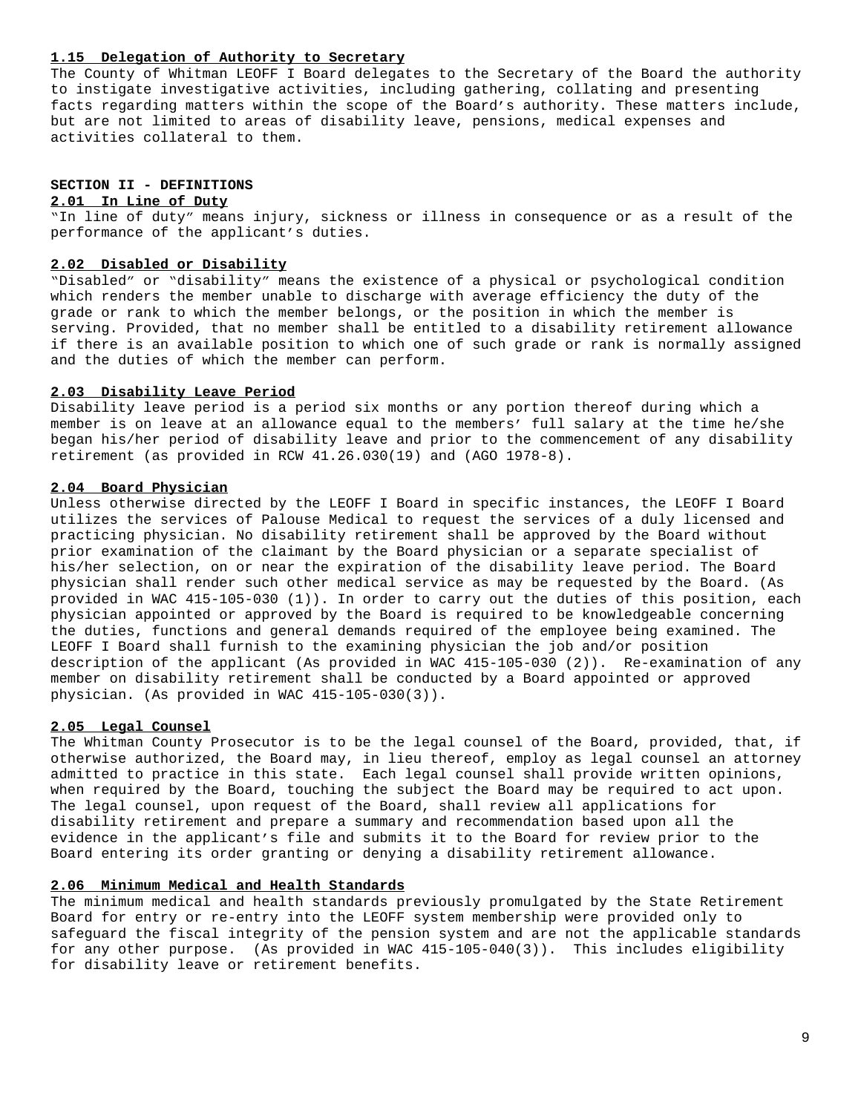#### **1.15 Delegation of Authority to Secretary**

The County of Whitman LEOFF I Board delegates to the Secretary of the Board the authority to instigate investigative activities, including gathering, collating and presenting facts regarding matters within the scope of the Board's authority. These matters include, but are not limited to areas of disability leave, pensions, medical expenses and activities collateral to them.

# **SECTION II - DEFINITIONS**

## **2.01 In Line of Duty**

"In line of duty" means injury, sickness or illness in consequence or as a result of the performance of the applicant's duties.

#### **2.02 Disabled or Disability**

"Disabled" or "disability" means the existence of a physical or psychological condition which renders the member unable to discharge with average efficiency the duty of the grade or rank to which the member belongs, or the position in which the member is serving. Provided, that no member shall be entitled to a disability retirement allowance if there is an available position to which one of such grade or rank is normally assigned and the duties of which the member can perform.

### **2.03 Disability Leave Period**

Disability leave period is a period six months or any portion thereof during which a member is on leave at an allowance equal to the members' full salary at the time he/she began his/her period of disability leave and prior to the commencement of any disability retirement (as provided in RCW 41.26.030(19) and (AGO 1978-8).

### **2.04 Board Physician**

Unless otherwise directed by the LEOFF I Board in specific instances, the LEOFF I Board utilizes the services of Palouse Medical to request the services of a duly licensed and practicing physician. No disability retirement shall be approved by the Board without prior examination of the claimant by the Board physician or a separate specialist of his/her selection, on or near the expiration of the disability leave period. The Board physician shall render such other medical service as may be requested by the Board. (As provided in WAC 415-105-030 (1)). In order to carry out the duties of this position, each physician appointed or approved by the Board is required to be knowledgeable concerning the duties, functions and general demands required of the employee being examined. The LEOFF I Board shall furnish to the examining physician the job and/or position description of the applicant (As provided in WAC 415-105-030 (2)). Re-examination of any member on disability retirement shall be conducted by a Board appointed or approved physician. (As provided in WAC 415-105-030(3)).

## **2.05 Legal Counsel**

The Whitman County Prosecutor is to be the legal counsel of the Board, provided, that, if otherwise authorized, the Board may, in lieu thereof, employ as legal counsel an attorney admitted to practice in this state. Each legal counsel shall provide written opinions, when required by the Board, touching the subject the Board may be required to act upon. The legal counsel, upon request of the Board, shall review all applications for disability retirement and prepare a summary and recommendation based upon all the evidence in the applicant's file and submits it to the Board for review prior to the Board entering its order granting or denying a disability retirement allowance.

#### **2.06 Minimum Medical and Health Standards**

The minimum medical and health standards previously promulgated by the State Retirement Board for entry or re-entry into the LEOFF system membership were provided only to safeguard the fiscal integrity of the pension system and are not the applicable standards for any other purpose. (As provided in WAC 415-105-040(3)). This includes eligibility for disability leave or retirement benefits.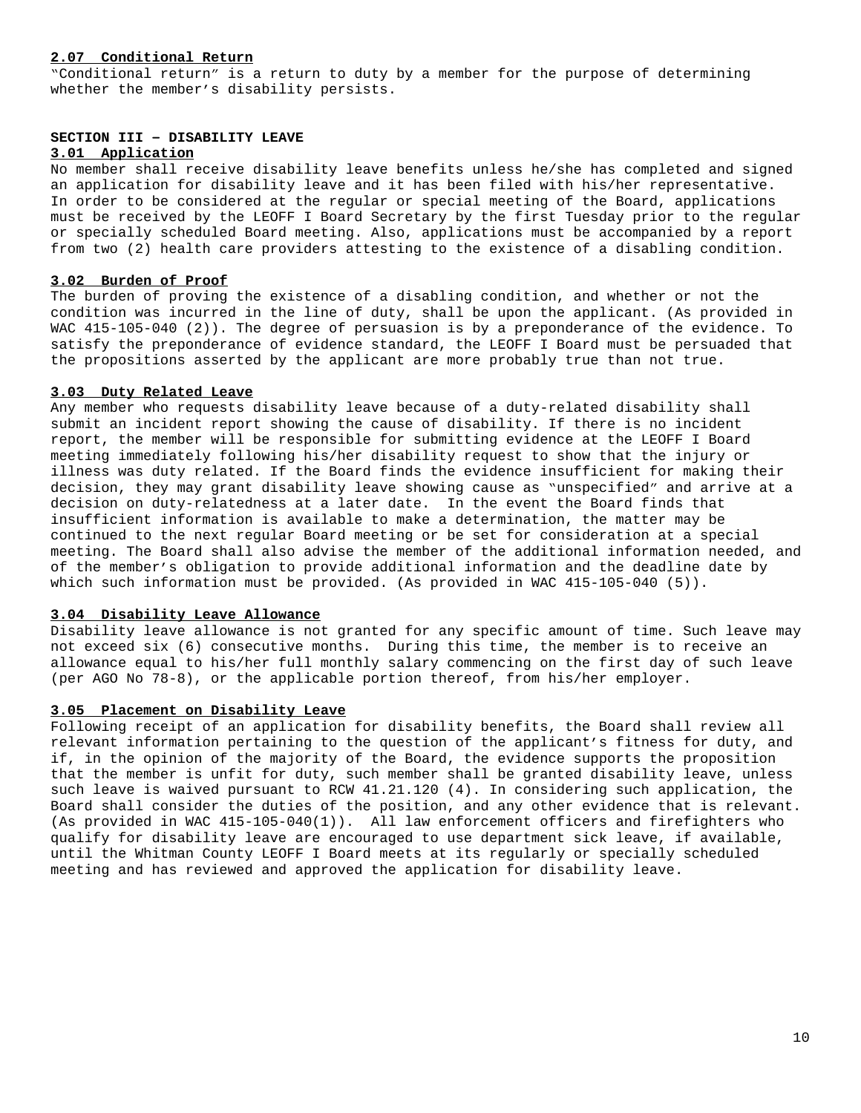### **2.07 Conditional Return**

"Conditional return" is a return to duty by a member for the purpose of determining whether the member's disability persists.

## **SECTION III – DISABILITY LEAVE**

## **3.01 Application**

No member shall receive disability leave benefits unless he/she has completed and signed an application for disability leave and it has been filed with his/her representative. In order to be considered at the regular or special meeting of the Board, applications must be received by the LEOFF I Board Secretary by the first Tuesday prior to the regular or specially scheduled Board meeting. Also, applications must be accompanied by a report from two (2) health care providers attesting to the existence of a disabling condition.

#### **3.02 Burden of Proof**

The burden of proving the existence of a disabling condition, and whether or not the condition was incurred in the line of duty, shall be upon the applicant. (As provided in WAC 415-105-040 (2)). The degree of persuasion is by a preponderance of the evidence. To satisfy the preponderance of evidence standard, the LEOFF I Board must be persuaded that the propositions asserted by the applicant are more probably true than not true.

## **3.03 Duty Related Leave**

Any member who requests disability leave because of a duty-related disability shall submit an incident report showing the cause of disability. If there is no incident report, the member will be responsible for submitting evidence at the LEOFF I Board meeting immediately following his/her disability request to show that the injury or illness was duty related. If the Board finds the evidence insufficient for making their decision, they may grant disability leave showing cause as "unspecified" and arrive at a decision on duty-relatedness at a later date. In the event the Board finds that insufficient information is available to make a determination, the matter may be continued to the next regular Board meeting or be set for consideration at a special meeting. The Board shall also advise the member of the additional information needed, and of the member's obligation to provide additional information and the deadline date by which such information must be provided. (As provided in WAC 415-105-040 (5)).

### **3.04 Disability Leave Allowance**

Disability leave allowance is not granted for any specific amount of time. Such leave may not exceed six (6) consecutive months. During this time, the member is to receive an allowance equal to his/her full monthly salary commencing on the first day of such leave (per AGO No 78-8), or the applicable portion thereof, from his/her employer.

## **3.05 Placement on Disability Leave**

Following receipt of an application for disability benefits, the Board shall review all relevant information pertaining to the question of the applicant's fitness for duty, and if, in the opinion of the majority of the Board, the evidence supports the proposition that the member is unfit for duty, such member shall be granted disability leave, unless such leave is waived pursuant to RCW 41.21.120 (4). In considering such application, the Board shall consider the duties of the position, and any other evidence that is relevant. (As provided in WAC 415-105-040(1)). All law enforcement officers and firefighters who qualify for disability leave are encouraged to use department sick leave, if available, until the Whitman County LEOFF I Board meets at its regularly or specially scheduled meeting and has reviewed and approved the application for disability leave.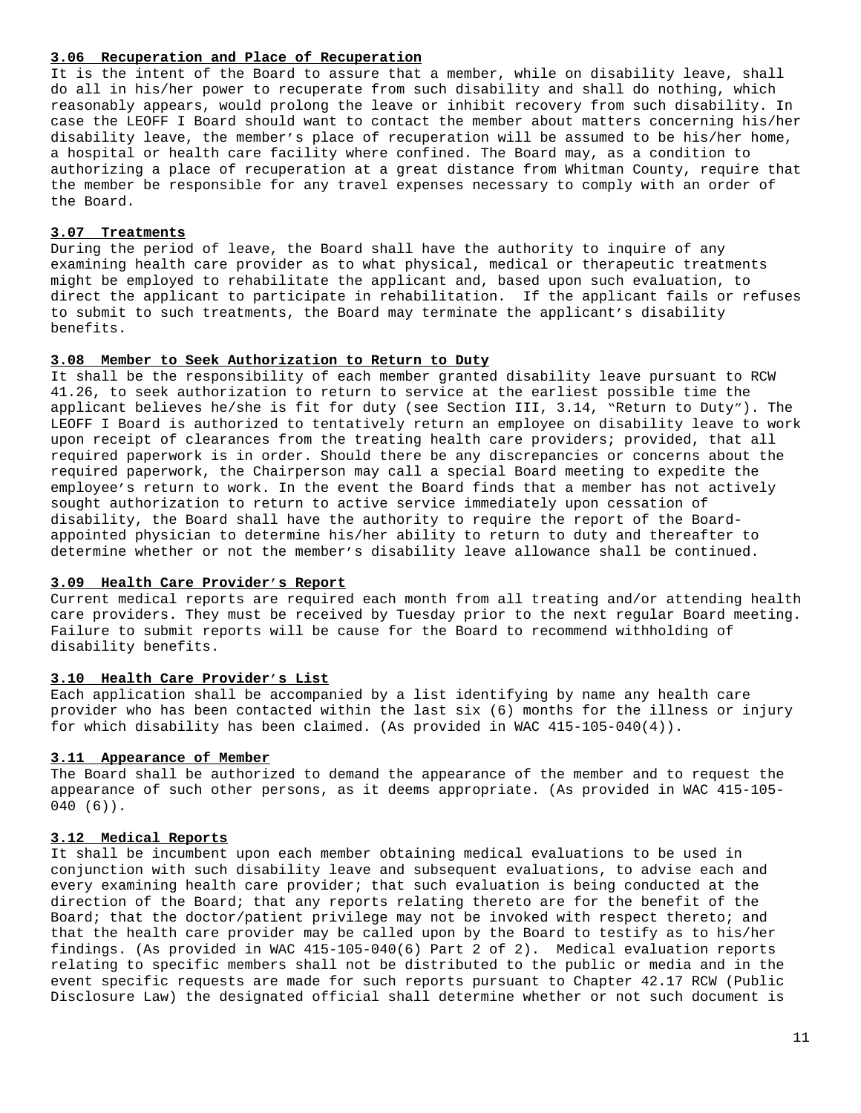#### **3.06 Recuperation and Place of Recuperation**

It is the intent of the Board to assure that a member, while on disability leave, shall do all in his/her power to recuperate from such disability and shall do nothing, which reasonably appears, would prolong the leave or inhibit recovery from such disability. In case the LEOFF I Board should want to contact the member about matters concerning his/her disability leave, the member's place of recuperation will be assumed to be his/her home, a hospital or health care facility where confined. The Board may, as a condition to authorizing a place of recuperation at a great distance from Whitman County, require that the member be responsible for any travel expenses necessary to comply with an order of the Board.

#### **3.07 Treatments**

During the period of leave, the Board shall have the authority to inquire of any examining health care provider as to what physical, medical or therapeutic treatments might be employed to rehabilitate the applicant and, based upon such evaluation, to direct the applicant to participate in rehabilitation. If the applicant fails or refuses to submit to such treatments, the Board may terminate the applicant's disability benefits.

#### **3.08 Member to Seek Authorization to Return to Duty**

It shall be the responsibility of each member granted disability leave pursuant to RCW 41.26, to seek authorization to return to service at the earliest possible time the applicant believes he/she is fit for duty (see Section III, 3.14, "Return to Duty"). The LEOFF I Board is authorized to tentatively return an employee on disability leave to work upon receipt of clearances from the treating health care providers; provided, that all required paperwork is in order. Should there be any discrepancies or concerns about the required paperwork, the Chairperson may call a special Board meeting to expedite the employee's return to work. In the event the Board finds that a member has not actively sought authorization to return to active service immediately upon cessation of disability, the Board shall have the authority to require the report of the Boardappointed physician to determine his/her ability to return to duty and thereafter to determine whether or not the member's disability leave allowance shall be continued.

#### **3.09 Health Care Provider's Report**

Current medical reports are required each month from all treating and/or attending health care providers. They must be received by Tuesday prior to the next regular Board meeting. Failure to submit reports will be cause for the Board to recommend withholding of disability benefits.

### **3.10 Health Care Provider's List**

Each application shall be accompanied by a list identifying by name any health care provider who has been contacted within the last six (6) months for the illness or injury for which disability has been claimed. (As provided in WAC 415-105-040(4)).

### **3.11 Appearance of Member**

The Board shall be authorized to demand the appearance of the member and to request the appearance of such other persons, as it deems appropriate. (As provided in WAC 415-105- 040 (6)).

## **3.12 Medical Reports**

It shall be incumbent upon each member obtaining medical evaluations to be used in conjunction with such disability leave and subsequent evaluations, to advise each and every examining health care provider; that such evaluation is being conducted at the direction of the Board; that any reports relating thereto are for the benefit of the Board; that the doctor/patient privilege may not be invoked with respect thereto; and that the health care provider may be called upon by the Board to testify as to his/her findings. (As provided in WAC 415-105-040(6) Part 2 of 2). Medical evaluation reports relating to specific members shall not be distributed to the public or media and in the event specific requests are made for such reports pursuant to Chapter 42.17 RCW (Public Disclosure Law) the designated official shall determine whether or not such document is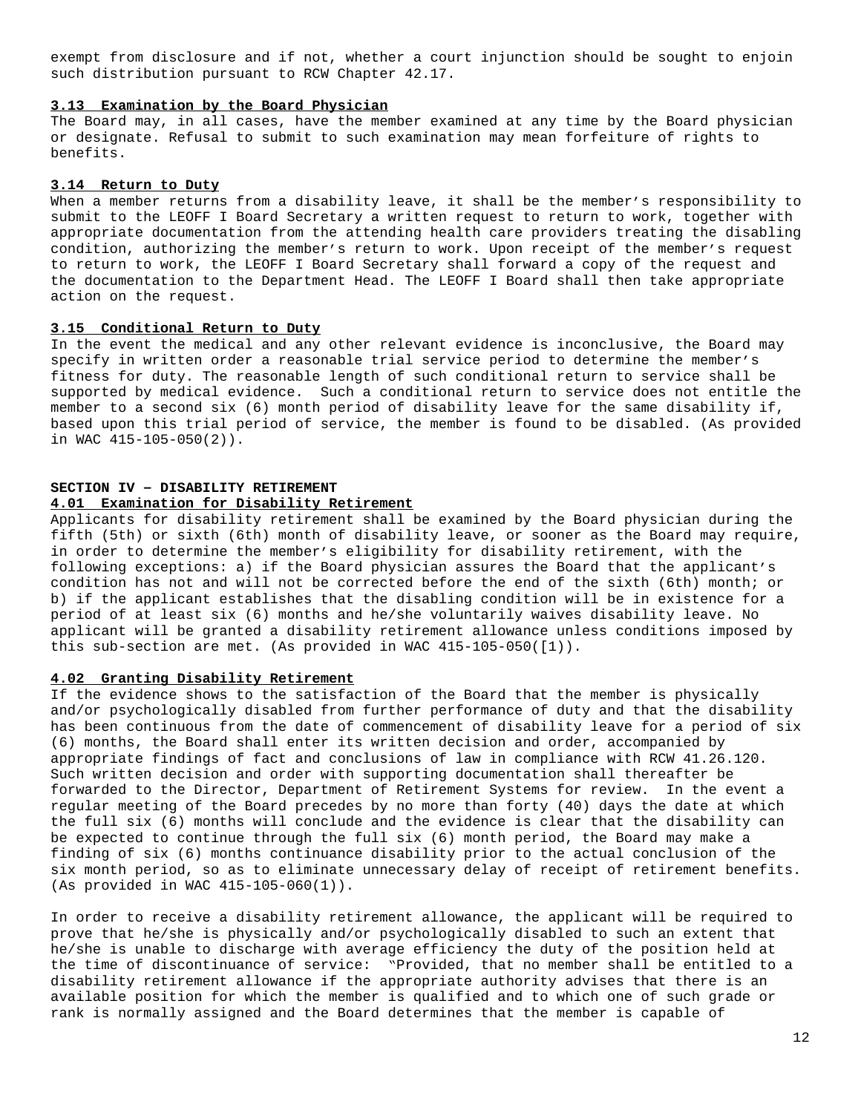exempt from disclosure and if not, whether a court injunction should be sought to enjoin such distribution pursuant to RCW Chapter 42.17.

#### **3.13 Examination by the Board Physician**

The Board may, in all cases, have the member examined at any time by the Board physician or designate. Refusal to submit to such examination may mean forfeiture of rights to benefits.

### **3.14 Return to Duty**

When a member returns from a disability leave, it shall be the member's responsibility to submit to the LEOFF I Board Secretary a written request to return to work, together with appropriate documentation from the attending health care providers treating the disabling condition, authorizing the member's return to work. Upon receipt of the member's request to return to work, the LEOFF I Board Secretary shall forward a copy of the request and the documentation to the Department Head. The LEOFF I Board shall then take appropriate action on the request.

#### **3.15 Conditional Return to Duty**

In the event the medical and any other relevant evidence is inconclusive, the Board may specify in written order a reasonable trial service period to determine the member's fitness for duty. The reasonable length of such conditional return to service shall be supported by medical evidence. Such a conditional return to service does not entitle the member to a second six (6) month period of disability leave for the same disability if, based upon this trial period of service, the member is found to be disabled. (As provided in WAC 415-105-050(2)).

# **SECTION IV – DISABILITY RETIREMENT**

#### **4.01 Examination for Disability Retirement**

Applicants for disability retirement shall be examined by the Board physician during the fifth (5th) or sixth (6th) month of disability leave, or sooner as the Board may require, in order to determine the member's eligibility for disability retirement, with the following exceptions: a) if the Board physician assures the Board that the applicant's condition has not and will not be corrected before the end of the sixth (6th) month; or b) if the applicant establishes that the disabling condition will be in existence for a period of at least six (6) months and he/she voluntarily waives disability leave. No applicant will be granted a disability retirement allowance unless conditions imposed by this sub-section are met. (As provided in WAC 415-105-050([1)).

#### **4.02 Granting Disability Retirement**

If the evidence shows to the satisfaction of the Board that the member is physically and/or psychologically disabled from further performance of duty and that the disability has been continuous from the date of commencement of disability leave for a period of six (6) months, the Board shall enter its written decision and order, accompanied by appropriate findings of fact and conclusions of law in compliance with RCW 41.26.120. Such written decision and order with supporting documentation shall thereafter be forwarded to the Director, Department of Retirement Systems for review. In the event a regular meeting of the Board precedes by no more than forty (40) days the date at which the full six (6) months will conclude and the evidence is clear that the disability can be expected to continue through the full six (6) month period, the Board may make a finding of six (6) months continuance disability prior to the actual conclusion of the six month period, so as to eliminate unnecessary delay of receipt of retirement benefits. (As provided in WAC 415-105-060(1)).

In order to receive a disability retirement allowance, the applicant will be required to prove that he/she is physically and/or psychologically disabled to such an extent that he/she is unable to discharge with average efficiency the duty of the position held at the time of discontinuance of service: "Provided, that no member shall be entitled to a disability retirement allowance if the appropriate authority advises that there is an available position for which the member is qualified and to which one of such grade or rank is normally assigned and the Board determines that the member is capable of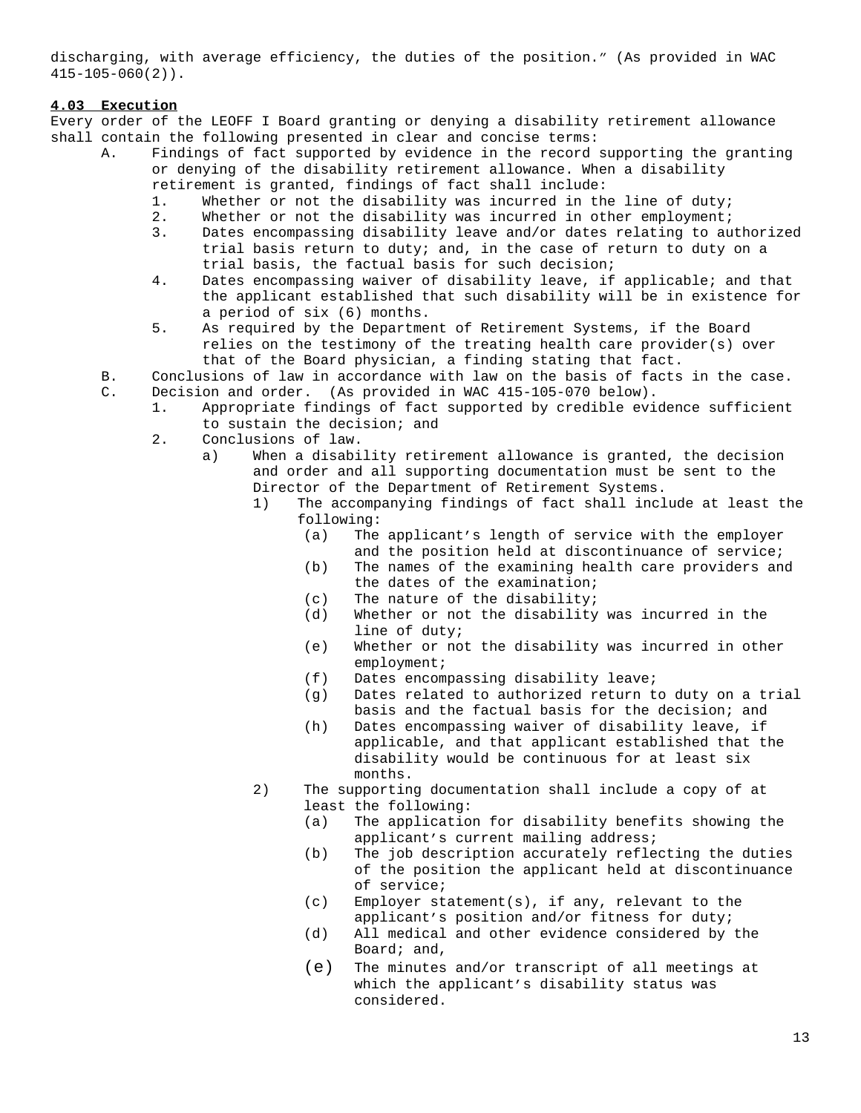discharging, with average efficiency, the duties of the position." (As provided in WAC 415-105-060(2)).

## **4.03 Execution**

Every order of the LEOFF I Board granting or denying a disability retirement allowance shall contain the following presented in clear and concise terms:

- A. Findings of fact supported by evidence in the record supporting the granting or denying of the disability retirement allowance. When a disability retirement is granted, findings of fact shall include:
	- 1. Whether or not the disability was incurred in the line of duty;
	- 2. Whether or not the disability was incurred in other employment;
	- 3. Dates encompassing disability leave and/or dates relating to authorized trial basis return to duty; and, in the case of return to duty on a trial basis, the factual basis for such decision;
	- 4. Dates encompassing waiver of disability leave, if applicable; and that the applicant established that such disability will be in existence for a period of six (6) months.
	- 5. As required by the Department of Retirement Systems, if the Board relies on the testimony of the treating health care provider(s) over that of the Board physician, a finding stating that fact.
- B. Conclusions of law in accordance with law on the basis of facts in the case. C. Decision and order. (As provided in WAC 415-105-070 below).
	- 1. Appropriate findings of fact supported by credible evidence sufficient to sustain the decision; and
	- 2. Conclusions of law.
		- a) When a disability retirement allowance is granted, the decision and order and all supporting documentation must be sent to the Director of the Department of Retirement Systems.
			- 1) The accompanying findings of fact shall include at least the following:
				- (a) The applicant's length of service with the employer and the position held at discontinuance of service;
				- (b) The names of the examining health care providers and the dates of the examination;
				- (c) The nature of the disability;
				- (d) Whether or not the disability was incurred in the line of duty;
				- (e) Whether or not the disability was incurred in other employment;
				- (f) Dates encompassing disability leave;
				- (g) Dates related to authorized return to duty on a trial basis and the factual basis for the decision; and
				- (h) Dates encompassing waiver of disability leave, if applicable, and that applicant established that the disability would be continuous for at least six months.
			- 2) The supporting documentation shall include a copy of at least the following:
				- (a) The application for disability benefits showing the applicant's current mailing address;
				- (b) The job description accurately reflecting the duties of the position the applicant held at discontinuance of service;
				- (c) Employer statement(s), if any, relevant to the applicant's position and/or fitness for duty;
				- (d) All medical and other evidence considered by the Board; and,
				- (e) The minutes and/or transcript of all meetings at which the applicant's disability status was considered.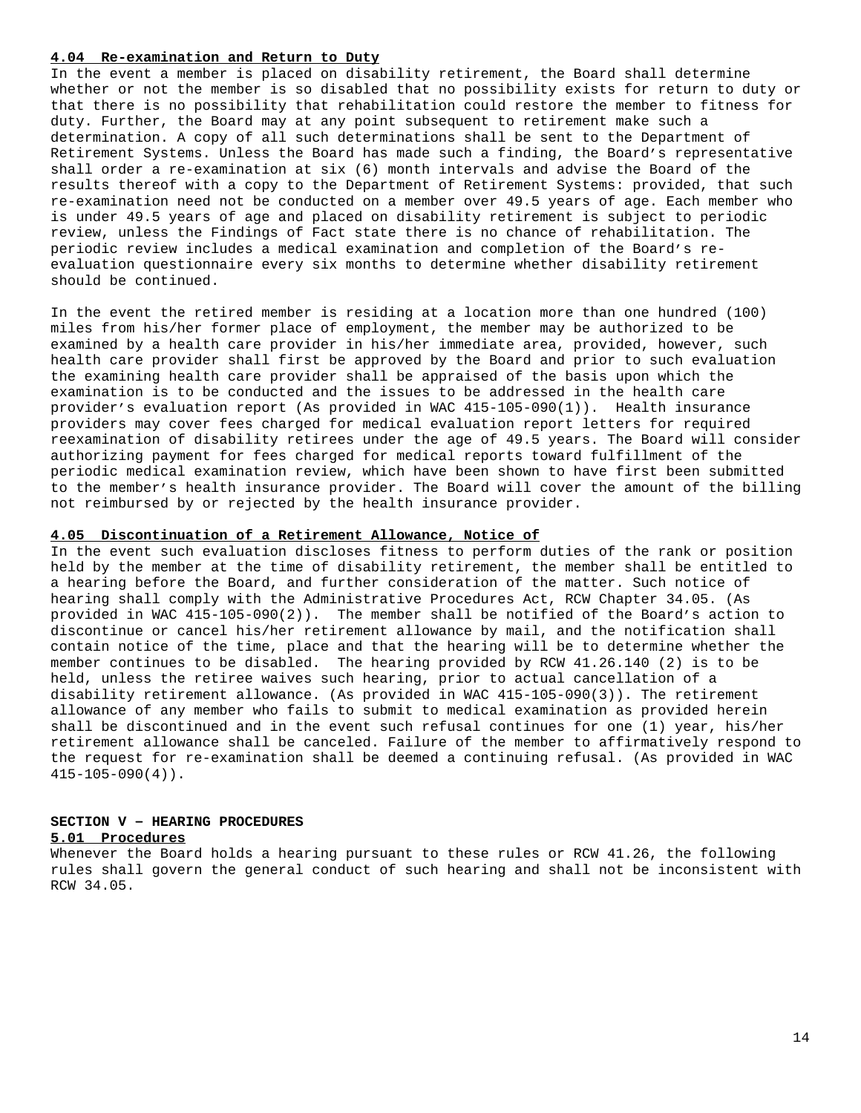#### **4.04 Re-examination and Return to Duty**

In the event a member is placed on disability retirement, the Board shall determine whether or not the member is so disabled that no possibility exists for return to duty or that there is no possibility that rehabilitation could restore the member to fitness for duty. Further, the Board may at any point subsequent to retirement make such a determination. A copy of all such determinations shall be sent to the Department of Retirement Systems. Unless the Board has made such a finding, the Board's representative shall order a re-examination at six (6) month intervals and advise the Board of the results thereof with a copy to the Department of Retirement Systems: provided, that such re-examination need not be conducted on a member over 49.5 years of age. Each member who is under 49.5 years of age and placed on disability retirement is subject to periodic review, unless the Findings of Fact state there is no chance of rehabilitation. The periodic review includes a medical examination and completion of the Board's reevaluation questionnaire every six months to determine whether disability retirement should be continued.

In the event the retired member is residing at a location more than one hundred (100) miles from his/her former place of employment, the member may be authorized to be examined by a health care provider in his/her immediate area, provided, however, such health care provider shall first be approved by the Board and prior to such evaluation the examining health care provider shall be appraised of the basis upon which the examination is to be conducted and the issues to be addressed in the health care provider's evaluation report (As provided in WAC 415-105-090(1)). Health insurance providers may cover fees charged for medical evaluation report letters for required reexamination of disability retirees under the age of 49.5 years. The Board will consider authorizing payment for fees charged for medical reports toward fulfillment of the periodic medical examination review, which have been shown to have first been submitted to the member's health insurance provider. The Board will cover the amount of the billing not reimbursed by or rejected by the health insurance provider.

### **4.05 Discontinuation of a Retirement Allowance, Notice of**

In the event such evaluation discloses fitness to perform duties of the rank or position held by the member at the time of disability retirement, the member shall be entitled to a hearing before the Board, and further consideration of the matter. Such notice of hearing shall comply with the Administrative Procedures Act, RCW Chapter 34.05. (As provided in WAC 415-105-090(2)). The member shall be notified of the Board's action to discontinue or cancel his/her retirement allowance by mail, and the notification shall contain notice of the time, place and that the hearing will be to determine whether the member continues to be disabled. The hearing provided by RCW 41.26.140 (2) is to be held, unless the retiree waives such hearing, prior to actual cancellation of a disability retirement allowance. (As provided in WAC 415-105-090(3)). The retirement allowance of any member who fails to submit to medical examination as provided herein shall be discontinued and in the event such refusal continues for one (1) year, his/her retirement allowance shall be canceled. Failure of the member to affirmatively respond to the request for re-examination shall be deemed a continuing refusal. (As provided in WAC  $415-105-090(4)$ .

## **SECTION V – HEARING PROCEDURES**

#### **5.01 Procedures**

Whenever the Board holds a hearing pursuant to these rules or RCW 41.26, the following rules shall govern the general conduct of such hearing and shall not be inconsistent with RCW 34.05.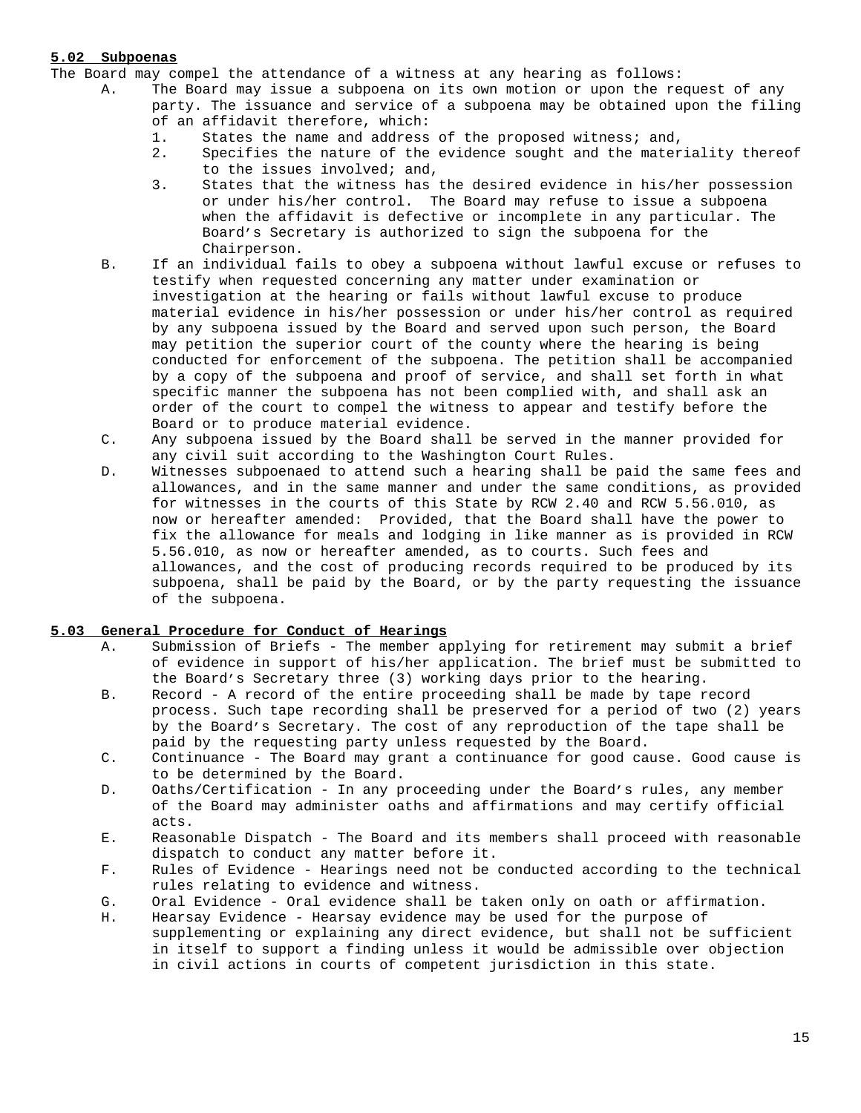## **5.02 Subpoenas**

The Board may compel the attendance of a witness at any hearing as follows:

- A. The Board may issue a subpoena on its own motion or upon the request of any party. The issuance and service of a subpoena may be obtained upon the filing of an affidavit therefore, which:
	- 1. States the name and address of the proposed witness; and,
	- 2. Specifies the nature of the evidence sought and the materiality thereof to the issues involved; and,
	- 3. States that the witness has the desired evidence in his/her possession or under his/her control. The Board may refuse to issue a subpoena when the affidavit is defective or incomplete in any particular. The Board's Secretary is authorized to sign the subpoena for the Chairperson.
- B. If an individual fails to obey a subpoena without lawful excuse or refuses to testify when requested concerning any matter under examination or investigation at the hearing or fails without lawful excuse to produce material evidence in his/her possession or under his/her control as required by any subpoena issued by the Board and served upon such person, the Board may petition the superior court of the county where the hearing is being conducted for enforcement of the subpoena. The petition shall be accompanied by a copy of the subpoena and proof of service, and shall set forth in what specific manner the subpoena has not been complied with, and shall ask an order of the court to compel the witness to appear and testify before the Board or to produce material evidence.
- C. Any subpoena issued by the Board shall be served in the manner provided for any civil suit according to the Washington Court Rules.
- D. Witnesses subpoenaed to attend such a hearing shall be paid the same fees and allowances, and in the same manner and under the same conditions, as provided for witnesses in the courts of this State by RCW 2.40 and RCW 5.56.010, as now or hereafter amended: Provided, that the Board shall have the power to fix the allowance for meals and lodging in like manner as is provided in RCW 5.56.010, as now or hereafter amended, as to courts. Such fees and allowances, and the cost of producing records required to be produced by its subpoena, shall be paid by the Board, or by the party requesting the issuance of the subpoena.

## **5.03 General Procedure for Conduct of Hearings**

- A. Submission of Briefs The member applying for retirement may submit a brief of evidence in support of his/her application. The brief must be submitted to the Board's Secretary three (3) working days prior to the hearing.
- B. Record A record of the entire proceeding shall be made by tape record process. Such tape recording shall be preserved for a period of two (2) years by the Board's Secretary. The cost of any reproduction of the tape shall be paid by the requesting party unless requested by the Board.
- C. Continuance The Board may grant a continuance for good cause. Good cause is to be determined by the Board.
- D. Oaths/Certification In any proceeding under the Board's rules, any member of the Board may administer oaths and affirmations and may certify official acts.
- E. Reasonable Dispatch The Board and its members shall proceed with reasonable dispatch to conduct any matter before it.
- F. Rules of Evidence Hearings need not be conducted according to the technical rules relating to evidence and witness.
- G. Oral Evidence Oral evidence shall be taken only on oath or affirmation.
- H. Hearsay Evidence Hearsay evidence may be used for the purpose of supplementing or explaining any direct evidence, but shall not be sufficient in itself to support a finding unless it would be admissible over objection in civil actions in courts of competent jurisdiction in this state.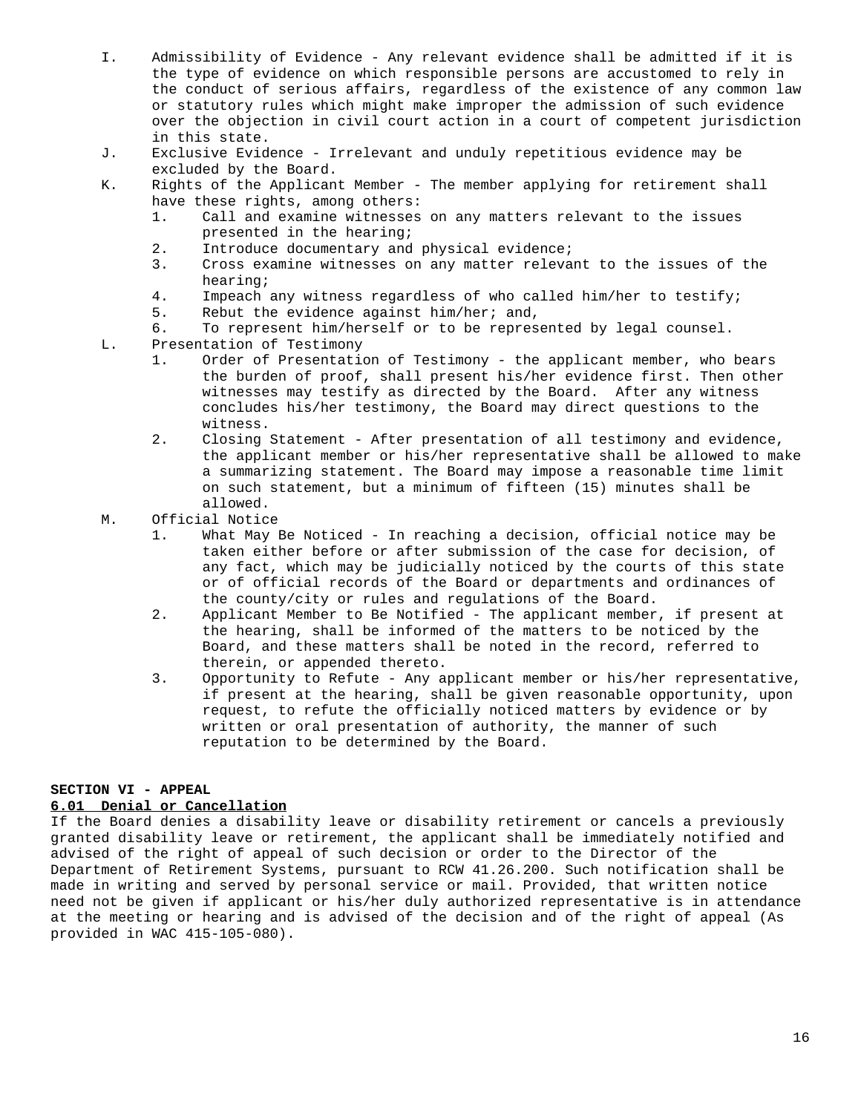- I. Admissibility of Evidence Any relevant evidence shall be admitted if it is the type of evidence on which responsible persons are accustomed to rely in the conduct of serious affairs, regardless of the existence of any common law or statutory rules which might make improper the admission of such evidence over the objection in civil court action in a court of competent jurisdiction in this state.
- J. Exclusive Evidence Irrelevant and unduly repetitious evidence may be excluded by the Board.
- K. Rights of the Applicant Member The member applying for retirement shall have these rights, among others:
	- 1. Call and examine witnesses on any matters relevant to the issues presented in the hearing;
	- 2. Introduce documentary and physical evidence;
	- 3. Cross examine witnesses on any matter relevant to the issues of the hearing;
	- 4. Impeach any witness regardless of who called him/her to testify;
	- 5. Rebut the evidence against him/her; and,
	- 6. To represent him/herself or to be represented by legal counsel.
- L. Presentation of Testimony
	- 1. Order of Presentation of Testimony the applicant member, who bears the burden of proof, shall present his/her evidence first. Then other witnesses may testify as directed by the Board. After any witness concludes his/her testimony, the Board may direct questions to the witness.
	- 2. Closing Statement After presentation of all testimony and evidence, the applicant member or his/her representative shall be allowed to make a summarizing statement. The Board may impose a reasonable time limit on such statement, but a minimum of fifteen (15) minutes shall be allowed.
- M. Official Notice
	- 1. What May Be Noticed In reaching a decision, official notice may be taken either before or after submission of the case for decision, of any fact, which may be judicially noticed by the courts of this state or of official records of the Board or departments and ordinances of the county/city or rules and regulations of the Board.
	- 2. Applicant Member to Be Notified The applicant member, if present at the hearing, shall be informed of the matters to be noticed by the Board, and these matters shall be noted in the record, referred to therein, or appended thereto.
	- 3. Opportunity to Refute Any applicant member or his/her representative, if present at the hearing, shall be given reasonable opportunity, upon request, to refute the officially noticed matters by evidence or by written or oral presentation of authority, the manner of such reputation to be determined by the Board.

## **SECTION VI - APPEAL**

#### **6.01 Denial or Cancellation**

If the Board denies a disability leave or disability retirement or cancels a previously granted disability leave or retirement, the applicant shall be immediately notified and advised of the right of appeal of such decision or order to the Director of the Department of Retirement Systems, pursuant to RCW 41.26.200. Such notification shall be made in writing and served by personal service or mail. Provided, that written notice need not be given if applicant or his/her duly authorized representative is in attendance at the meeting or hearing and is advised of the decision and of the right of appeal (As provided in WAC 415-105-080).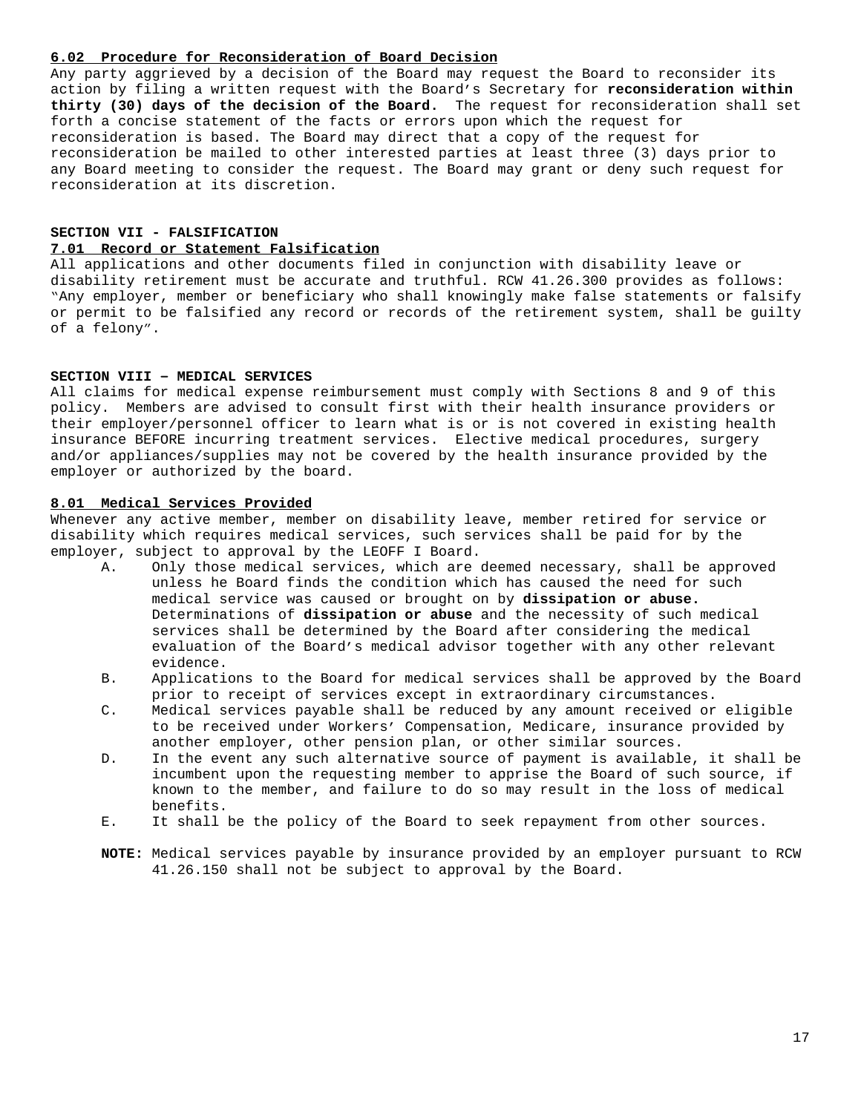## **6.02 Procedure for Reconsideration of Board Decision**

Any party aggrieved by a decision of the Board may request the Board to reconsider its action by filing a written request with the Board's Secretary for **reconsideration within thirty (30) days of the decision of the Board.** The request for reconsideration shall set forth a concise statement of the facts or errors upon which the request for reconsideration is based. The Board may direct that a copy of the request for reconsideration be mailed to other interested parties at least three (3) days prior to any Board meeting to consider the request. The Board may grant or deny such request for reconsideration at its discretion.

## **SECTION VII - FALSIFICATION 7.01 Record or Statement Falsification**

All applications and other documents filed in conjunction with disability leave or disability retirement must be accurate and truthful. RCW 41.26.300 provides as follows: "Any employer, member or beneficiary who shall knowingly make false statements or falsify or permit to be falsified any record or records of the retirement system, shall be guilty of a felony".

#### **SECTION VIII – MEDICAL SERVICES**

All claims for medical expense reimbursement must comply with Sections 8 and 9 of this policy. Members are advised to consult first with their health insurance providers or their employer/personnel officer to learn what is or is not covered in existing health insurance BEFORE incurring treatment services. Elective medical procedures, surgery and/or appliances/supplies may not be covered by the health insurance provided by the employer or authorized by the board.

## **8.01 Medical Services Provided**

Whenever any active member, member on disability leave, member retired for service or disability which requires medical services, such services shall be paid for by the employer, subject to approval by the LEOFF I Board.

- A. Only those medical services, which are deemed necessary, shall be approved unless he Board finds the condition which has caused the need for such medical service was caused or brought on by **dissipation or abuse.**  Determinations of **dissipation or abuse** and the necessity of such medical services shall be determined by the Board after considering the medical evaluation of the Board's medical advisor together with any other relevant evidence.
- B. Applications to the Board for medical services shall be approved by the Board prior to receipt of services except in extraordinary circumstances.
- C. Medical services payable shall be reduced by any amount received or eligible to be received under Workers' Compensation, Medicare, insurance provided by another employer, other pension plan, or other similar sources.
- D. In the event any such alternative source of payment is available, it shall be incumbent upon the requesting member to apprise the Board of such source, if known to the member, and failure to do so may result in the loss of medical benefits.
- E. It shall be the policy of the Board to seek repayment from other sources.
- **NOTE:** Medical services payable by insurance provided by an employer pursuant to RCW 41.26.150 shall not be subject to approval by the Board.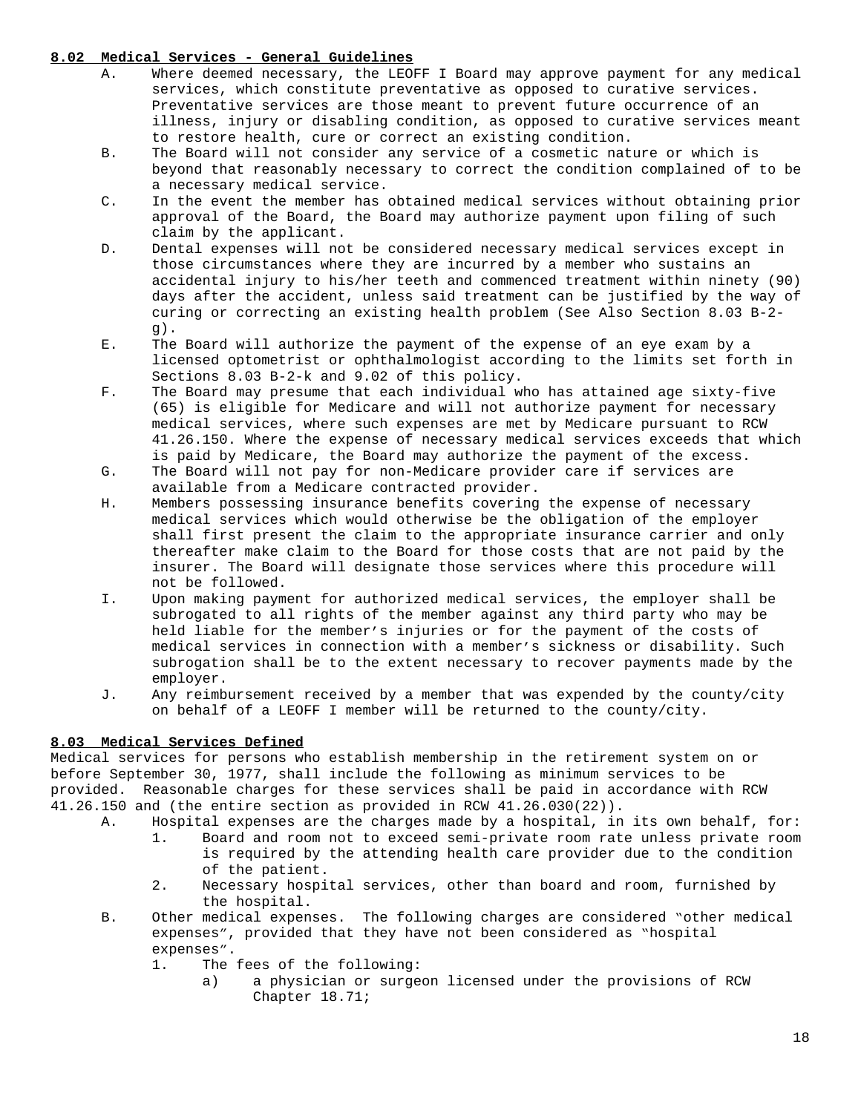## **8.02 Medical Services - General Guidelines**

- A. Where deemed necessary, the LEOFF I Board may approve payment for any medical services, which constitute preventative as opposed to curative services. Preventative services are those meant to prevent future occurrence of an illness, injury or disabling condition, as opposed to curative services meant to restore health, cure or correct an existing condition.
- B. The Board will not consider any service of a cosmetic nature or which is beyond that reasonably necessary to correct the condition complained of to be a necessary medical service.
- C. In the event the member has obtained medical services without obtaining prior approval of the Board, the Board may authorize payment upon filing of such claim by the applicant.
- D. Dental expenses will not be considered necessary medical services except in those circumstances where they are incurred by a member who sustains an accidental injury to his/her teeth and commenced treatment within ninety (90) days after the accident, unless said treatment can be justified by the way of curing or correcting an existing health problem (See Also Section 8.03 B-2 g).
- E. The Board will authorize the payment of the expense of an eye exam by a licensed optometrist or ophthalmologist according to the limits set forth in Sections 8.03 B-2-k and 9.02 of this policy.
- F. The Board may presume that each individual who has attained age sixty-five (65) is eligible for Medicare and will not authorize payment for necessary medical services, where such expenses are met by Medicare pursuant to RCW 41.26.150. Where the expense of necessary medical services exceeds that which is paid by Medicare, the Board may authorize the payment of the excess.
- G. The Board will not pay for non-Medicare provider care if services are available from a Medicare contracted provider.
- H. Members possessing insurance benefits covering the expense of necessary medical services which would otherwise be the obligation of the employer shall first present the claim to the appropriate insurance carrier and only thereafter make claim to the Board for those costs that are not paid by the insurer. The Board will designate those services where this procedure will not be followed.
- I. Upon making payment for authorized medical services, the employer shall be subrogated to all rights of the member against any third party who may be held liable for the member's injuries or for the payment of the costs of medical services in connection with a member's sickness or disability. Such subrogation shall be to the extent necessary to recover payments made by the employer.
- J. Any reimbursement received by a member that was expended by the county/city on behalf of a LEOFF I member will be returned to the county/city.

## **8.03 Medical Services Defined**

Medical services for persons who establish membership in the retirement system on or before September 30, 1977, shall include the following as minimum services to be provided. Reasonable charges for these services shall be paid in accordance with RCW 41.26.150 and (the entire section as provided in RCW 41.26.030(22)).

- A. Hospital expenses are the charges made by a hospital, in its own behalf, for:
	- 1. Board and room not to exceed semi-private room rate unless private room is required by the attending health care provider due to the condition of the patient.
	- 2. Necessary hospital services, other than board and room, furnished by the hospital.
- B. Other medical expenses. The following charges are considered "other medical expenses", provided that they have not been considered as "hospital expenses".
	- 1. The fees of the following:
		- a) a physician or surgeon licensed under the provisions of RCW Chapter 18.71;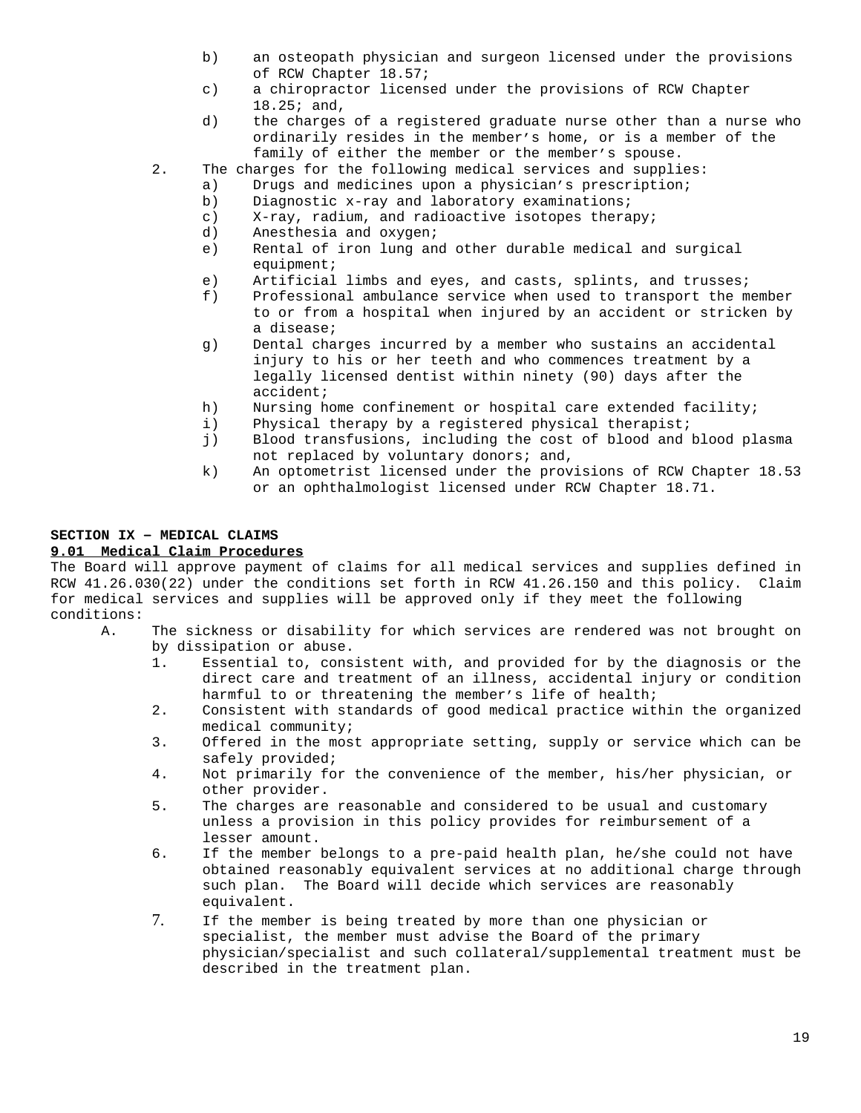- b) an osteopath physician and surgeon licensed under the provisions of RCW Chapter 18.57;
- c) a chiropractor licensed under the provisions of RCW Chapter 18.25; and,
- d) the charges of a registered graduate nurse other than a nurse who ordinarily resides in the member's home, or is a member of the family of either the member or the member's spouse.
- 2. The charges for the following medical services and supplies:
	- a) Drugs and medicines upon a physician's prescription;
		- b) Diagnostic x-ray and laboratory examinations;
		- c) X-ray, radium, and radioactive isotopes therapy;
		- d) Anesthesia and oxygen;
		- e) Rental of iron lung and other durable medical and surgical equipment;
		- e) Artificial limbs and eyes, and casts, splints, and trusses;
		- f) Professional ambulance service when used to transport the member to or from a hospital when injured by an accident or stricken by a disease;
		- g) Dental charges incurred by a member who sustains an accidental injury to his or her teeth and who commences treatment by a legally licensed dentist within ninety (90) days after the accident;
		- h) Nursing home confinement or hospital care extended facility;
		- i) Physical therapy by a registered physical therapist;
		- j) Blood transfusions, including the cost of blood and blood plasma not replaced by voluntary donors; and,
		- k) An optometrist licensed under the provisions of RCW Chapter 18.53 or an ophthalmologist licensed under RCW Chapter 18.71.

## **SECTION IX – MEDICAL CLAIMS**

## **9.01 Medical Claim Procedures**

The Board will approve payment of claims for all medical services and supplies defined in RCW 41.26.030(22) under the conditions set forth in RCW 41.26.150 and this policy. Claim for medical services and supplies will be approved only if they meet the following conditions:

- A. The sickness or disability for which services are rendered was not brought on by dissipation or abuse.
	- 1. Essential to, consistent with, and provided for by the diagnosis or the direct care and treatment of an illness, accidental injury or condition harmful to or threatening the member's life of health;
	- 2. Consistent with standards of good medical practice within the organized medical community;
	- 3. Offered in the most appropriate setting, supply or service which can be safely provided;
	- 4. Not primarily for the convenience of the member, his/her physician, or other provider.
	- 5. The charges are reasonable and considered to be usual and customary unless a provision in this policy provides for reimbursement of a lesser amount.
	- 6. If the member belongs to a pre-paid health plan, he/she could not have obtained reasonably equivalent services at no additional charge through such plan. The Board will decide which services are reasonably equivalent.
	- 7. If the member is being treated by more than one physician or specialist, the member must advise the Board of the primary physician/specialist and such collateral/supplemental treatment must be described in the treatment plan.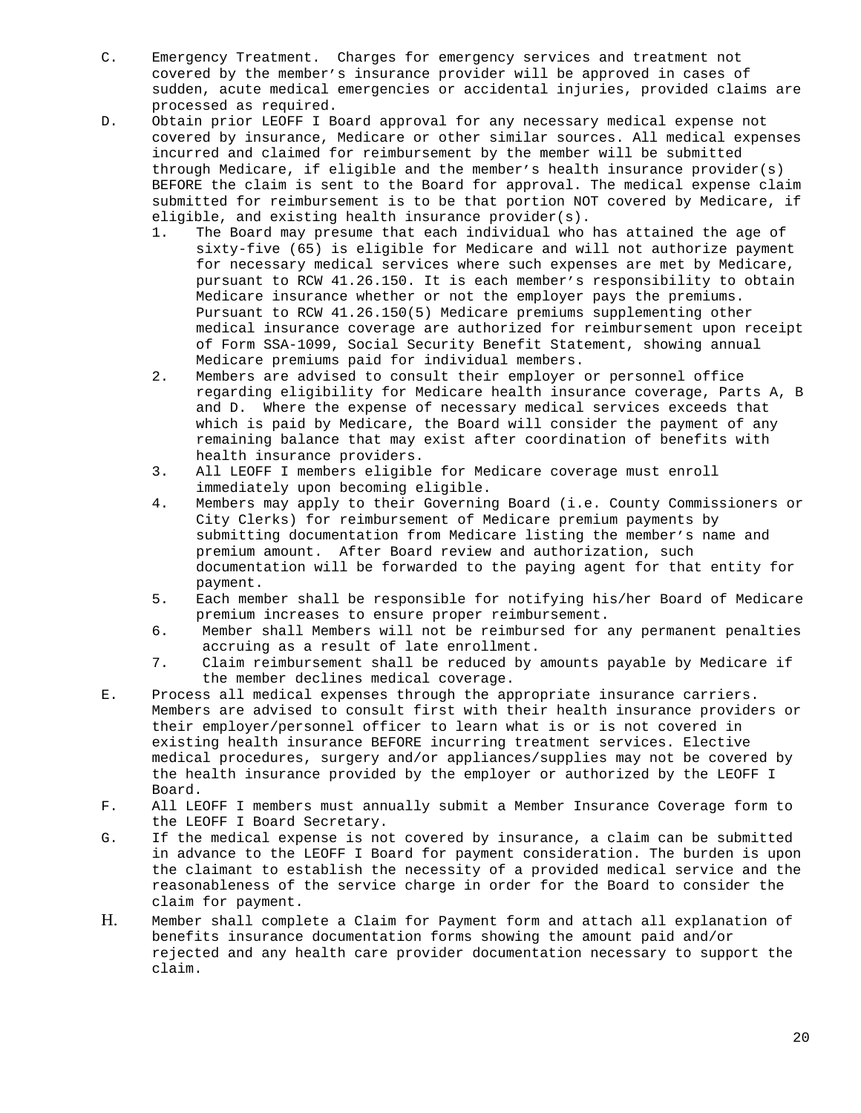- C. Emergency Treatment. Charges for emergency services and treatment not covered by the member's insurance provider will be approved in cases of sudden, acute medical emergencies or accidental injuries, provided claims are processed as required.
- D. Obtain prior LEOFF I Board approval for any necessary medical expense not covered by insurance, Medicare or other similar sources. All medical expenses incurred and claimed for reimbursement by the member will be submitted through Medicare, if eligible and the member's health insurance provider(s) BEFORE the claim is sent to the Board for approval. The medical expense claim submitted for reimbursement is to be that portion NOT covered by Medicare, if eligible, and existing health insurance provider(s).
	- 1. The Board may presume that each individual who has attained the age of sixty-five (65) is eligible for Medicare and will not authorize payment for necessary medical services where such expenses are met by Medicare, pursuant to RCW 41.26.150. It is each member's responsibility to obtain Medicare insurance whether or not the employer pays the premiums. Pursuant to RCW 41.26.150(5) Medicare premiums supplementing other medical insurance coverage are authorized for reimbursement upon receipt of Form SSA-1099, Social Security Benefit Statement, showing annual Medicare premiums paid for individual members.
	- 2. Members are advised to consult their employer or personnel office regarding eligibility for Medicare health insurance coverage, Parts A, B and D. Where the expense of necessary medical services exceeds that which is paid by Medicare, the Board will consider the payment of any remaining balance that may exist after coordination of benefits with health insurance providers.
	- 3. All LEOFF I members eligible for Medicare coverage must enroll immediately upon becoming eligible.
	- 4. Members may apply to their Governing Board (i.e. County Commissioners or City Clerks) for reimbursement of Medicare premium payments by submitting documentation from Medicare listing the member's name and premium amount. After Board review and authorization, such documentation will be forwarded to the paying agent for that entity for payment.
	- 5. Each member shall be responsible for notifying his/her Board of Medicare premium increases to ensure proper reimbursement.
	- 6. Member shall Members will not be reimbursed for any permanent penalties accruing as a result of late enrollment.
	- 7. Claim reimbursement shall be reduced by amounts payable by Medicare if the member declines medical coverage.
- E. Process all medical expenses through the appropriate insurance carriers. Members are advised to consult first with their health insurance providers or their employer/personnel officer to learn what is or is not covered in existing health insurance BEFORE incurring treatment services. Elective medical procedures, surgery and/or appliances/supplies may not be covered by the health insurance provided by the employer or authorized by the LEOFF I Board.
- F. All LEOFF I members must annually submit a Member Insurance Coverage form to the LEOFF I Board Secretary.
- G. If the medical expense is not covered by insurance, a claim can be submitted in advance to the LEOFF I Board for payment consideration. The burden is upon the claimant to establish the necessity of a provided medical service and the reasonableness of the service charge in order for the Board to consider the claim for payment.
- H. Member shall complete a Claim for Payment form and attach all explanation of benefits insurance documentation forms showing the amount paid and/or rejected and any health care provider documentation necessary to support the claim.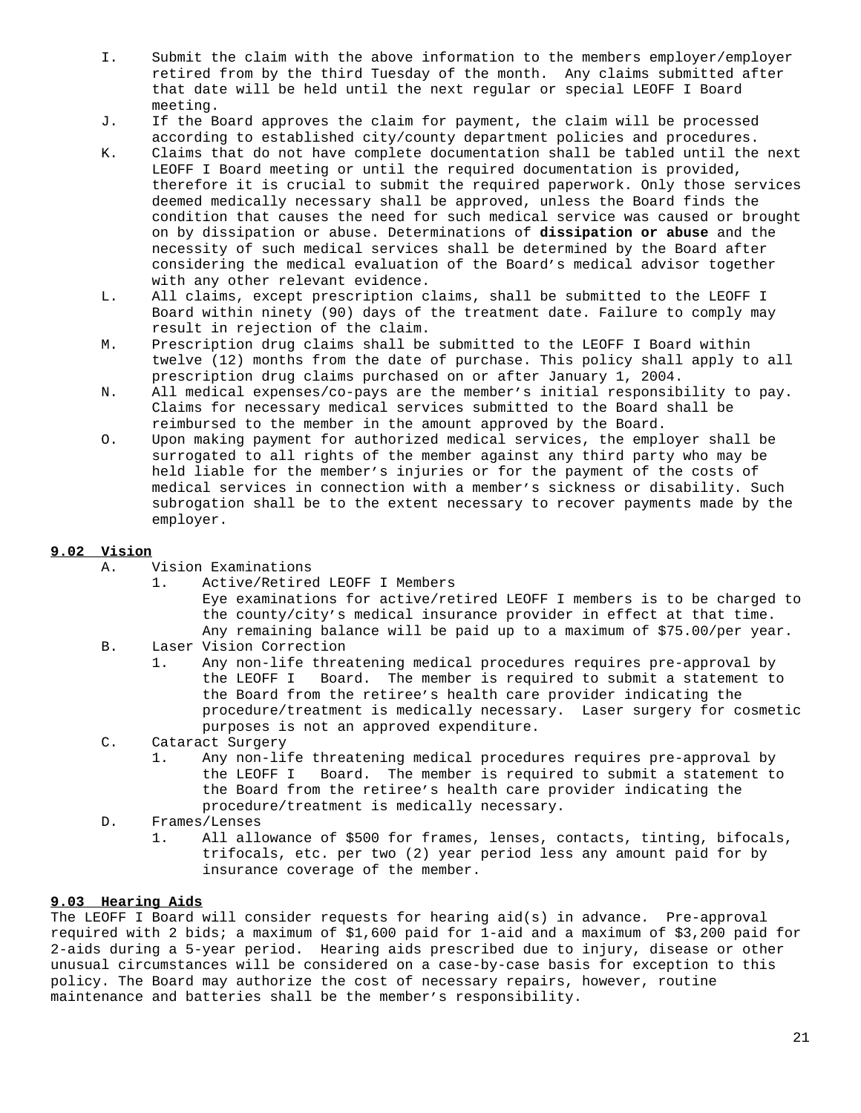- I. Submit the claim with the above information to the members employer/employer retired from by the third Tuesday of the month. Any claims submitted after that date will be held until the next regular or special LEOFF I Board meeting.
- J. If the Board approves the claim for payment, the claim will be processed according to established city/county department policies and procedures.
- K. Claims that do not have complete documentation shall be tabled until the next LEOFF I Board meeting or until the required documentation is provided, therefore it is crucial to submit the required paperwork. Only those services deemed medically necessary shall be approved, unless the Board finds the condition that causes the need for such medical service was caused or brought on by dissipation or abuse. Determinations of **dissipation or abuse** and the necessity of such medical services shall be determined by the Board after considering the medical evaluation of the Board's medical advisor together with any other relevant evidence.
- L. All claims, except prescription claims, shall be submitted to the LEOFF I Board within ninety (90) days of the treatment date. Failure to comply may result in rejection of the claim.
- M. Prescription drug claims shall be submitted to the LEOFF I Board within twelve (12) months from the date of purchase. This policy shall apply to all prescription drug claims purchased on or after January 1, 2004.
- N. All medical expenses/co-pays are the member's initial responsibility to pay. Claims for necessary medical services submitted to the Board shall be reimbursed to the member in the amount approved by the Board.
- O. Upon making payment for authorized medical services, the employer shall be surrogated to all rights of the member against any third party who may be held liable for the member's injuries or for the payment of the costs of medical services in connection with a member's sickness or disability. Such subrogation shall be to the extent necessary to recover payments made by the employer.

## **9.02 Vision**

- A. Vision Examinations
	- 1. Active/Retired LEOFF I Members Eye examinations for active/retired LEOFF I members is to be charged to the county/city's medical insurance provider in effect at that time. Any remaining balance will be paid up to a maximum of \$75.00/per year.
- B. Laser Vision Correction
	- 1. Any non-life threatening medical procedures requires pre-approval by the LEOFF I Board. The member is required to submit a statement to the Board from the retiree's health care provider indicating the procedure/treatment is medically necessary. Laser surgery for cosmetic purposes is not an approved expenditure.
- C. Cataract Surgery
	- 1. Any non-life threatening medical procedures requires pre-approval by the LEOFF I Board. The member is required to submit a statement to the Board from the retiree's health care provider indicating the procedure/treatment is medically necessary.
- D. Frames/Lenses
	- 1. All allowance of \$500 for frames, lenses, contacts, tinting, bifocals, trifocals, etc. per two (2) year period less any amount paid for by insurance coverage of the member.

## **9.03 Hearing Aids**

The LEOFF I Board will consider requests for hearing aid(s) in advance*.* Pre-approval required with 2 bids; a maximum of \$1,600 paid for 1-aid and a maximum of \$3,200 paid for 2-aids during a 5-year period. Hearing aids prescribed due to injury, disease or other unusual circumstances will be considered on a case-by-case basis for exception to this policy. The Board may authorize the cost of necessary repairs, however, routine maintenance and batteries shall be the member's responsibility.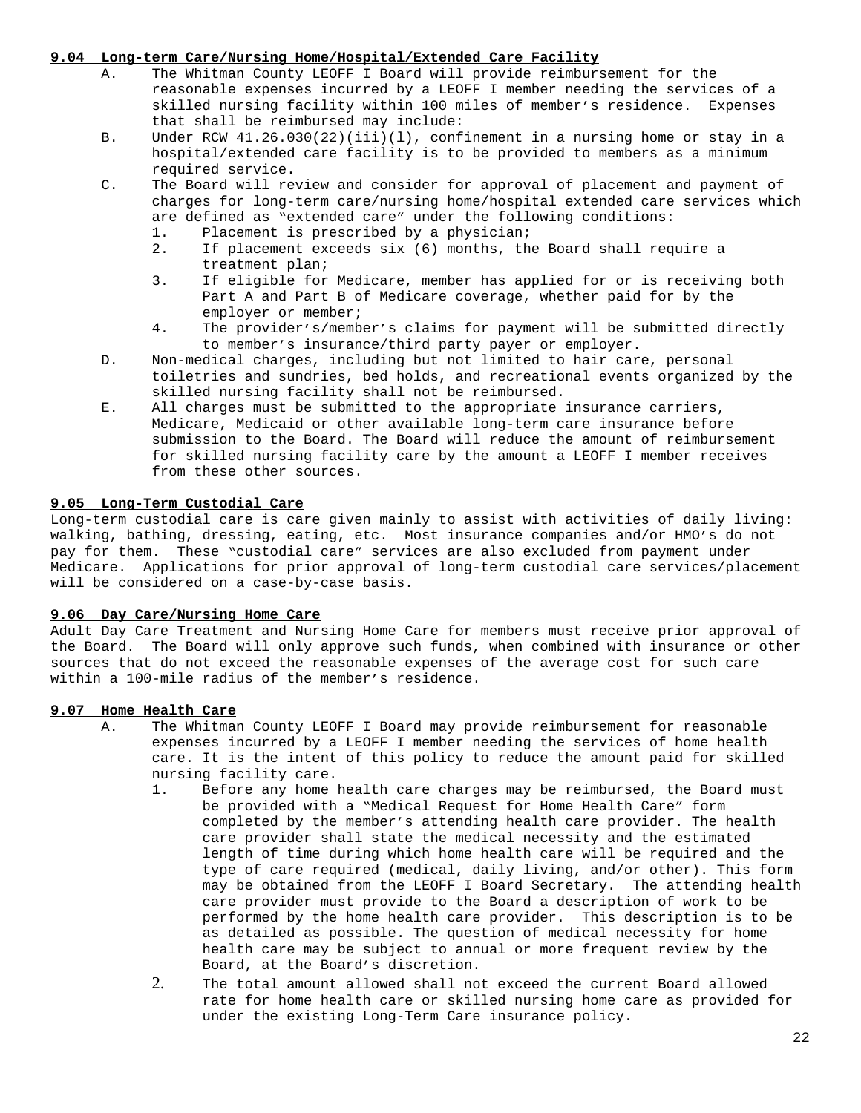## **9.04 Long-term Care/Nursing Home/Hospital/Extended Care Facility**

- A. The Whitman County LEOFF I Board will provide reimbursement for the reasonable expenses incurred by a LEOFF I member needing the services of a skilled nursing facility within 100 miles of member's residence. Expenses that shall be reimbursed may include:
- B. Under RCW 41.26.030(22)(iii)(l), confinement in a nursing home or stay in a hospital/extended care facility is to be provided to members as a minimum required service.
- C. The Board will review and consider for approval of placement and payment of charges for long-term care/nursing home/hospital extended care services which are defined as "extended care" under the following conditions:
	- 1. Placement is prescribed by a physician;
	- 2. If placement exceeds six (6) months, the Board shall require a treatment plan;
	- 3. If eligible for Medicare, member has applied for or is receiving both Part A and Part B of Medicare coverage, whether paid for by the employer or member;
	- 4. The provider's/member's claims for payment will be submitted directly to member's insurance/third party payer or employer.
- D. Non-medical charges, including but not limited to hair care, personal toiletries and sundries, bed holds, and recreational events organized by the skilled nursing facility shall not be reimbursed.
- E. All charges must be submitted to the appropriate insurance carriers, Medicare, Medicaid or other available long-term care insurance before submission to the Board. The Board will reduce the amount of reimbursement for skilled nursing facility care by the amount a LEOFF I member receives from these other sources.

## **9.05 Long-Term Custodial Care**

Long-term custodial care is care given mainly to assist with activities of daily living: walking, bathing, dressing, eating, etc. Most insurance companies and/or HMO's do not pay for them. These "custodial care" services are also excluded from payment under Medicare. Applications for prior approval of long-term custodial care services/placement will be considered on a case-by-case basis.

### **9.06 Day Care/Nursing Home Care**

Adult Day Care Treatment and Nursing Home Care for members must receive prior approval of the Board. The Board will only approve such funds, when combined with insurance or other sources that do not exceed the reasonable expenses of the average cost for such care within a 100-mile radius of the member's residence.

### **9.07 Home Health Care**

- A. The Whitman County LEOFF I Board may provide reimbursement for reasonable expenses incurred by a LEOFF I member needing the services of home health care. It is the intent of this policy to reduce the amount paid for skilled nursing facility care.
	- 1. Before any home health care charges may be reimbursed, the Board must be provided with a "Medical Request for Home Health Care" form completed by the member's attending health care provider. The health care provider shall state the medical necessity and the estimated length of time during which home health care will be required and the type of care required (medical, daily living, and/or other). This form may be obtained from the LEOFF I Board Secretary. The attending health care provider must provide to the Board a description of work to be performed by the home health care provider. This description is to be as detailed as possible. The question of medical necessity for home health care may be subject to annual or more frequent review by the Board, at the Board's discretion.
	- 2. The total amount allowed shall not exceed the current Board allowed rate for home health care or skilled nursing home care as provided for under the existing Long-Term Care insurance policy.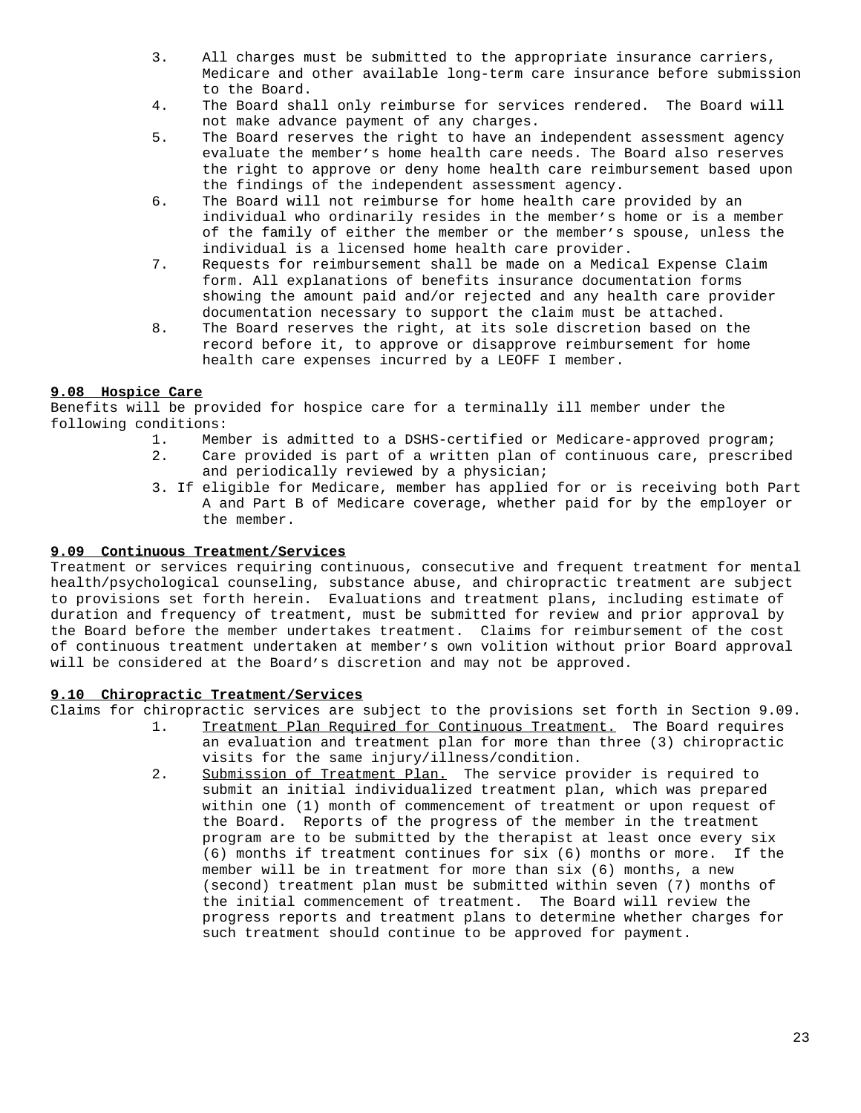- 3. All charges must be submitted to the appropriate insurance carriers, Medicare and other available long-term care insurance before submission to the Board.
- 4. The Board shall only reimburse for services rendered. The Board will not make advance payment of any charges.
- 5. The Board reserves the right to have an independent assessment agency evaluate the member's home health care needs. The Board also reserves the right to approve or deny home health care reimbursement based upon the findings of the independent assessment agency.
- 6. The Board will not reimburse for home health care provided by an individual who ordinarily resides in the member's home or is a member of the family of either the member or the member's spouse, unless the individual is a licensed home health care provider.
- 7. Requests for reimbursement shall be made on a Medical Expense Claim form. All explanations of benefits insurance documentation forms showing the amount paid and/or rejected and any health care provider documentation necessary to support the claim must be attached.
- 8. The Board reserves the right, at its sole discretion based on the record before it, to approve or disapprove reimbursement for home health care expenses incurred by a LEOFF I member.

## **9.08 Hospice Care**

Benefits will be provided for hospice care for a terminally ill member under the following conditions:

- 1. Member is admitted to a DSHS-certified or Medicare-approved program;
- 2. Care provided is part of a written plan of continuous care, prescribed and periodically reviewed by a physician;
- 3. If eligible for Medicare, member has applied for or is receiving both Part A and Part B of Medicare coverage, whether paid for by the employer or the member.

## **9.09 Continuous Treatment/Services**

Treatment or services requiring continuous, consecutive and frequent treatment for mental health/psychological counseling, substance abuse, and chiropractic treatment are subject to provisions set forth herein. Evaluations and treatment plans, including estimate of duration and frequency of treatment, must be submitted for review and prior approval by the Board before the member undertakes treatment. Claims for reimbursement of the cost of continuous treatment undertaken at member's own volition without prior Board approval will be considered at the Board's discretion and may not be approved.

## **9.10 Chiropractic Treatment/Services**

Claims for chiropractic services are subject to the provisions set forth in Section 9.09.

- 1. Treatment Plan Required for Continuous Treatment. The Board requires an evaluation and treatment plan for more than three (3) chiropractic visits for the same injury/illness/condition.
- 2. Submission of Treatment Plan. The service provider is required to submit an initial individualized treatment plan, which was prepared within one (1) month of commencement of treatment or upon request of the Board. Reports of the progress of the member in the treatment program are to be submitted by the therapist at least once every six (6) months if treatment continues for six (6) months or more. If the member will be in treatment for more than six (6) months, a new (second) treatment plan must be submitted within seven (7) months of the initial commencement of treatment. The Board will review the progress reports and treatment plans to determine whether charges for such treatment should continue to be approved for payment.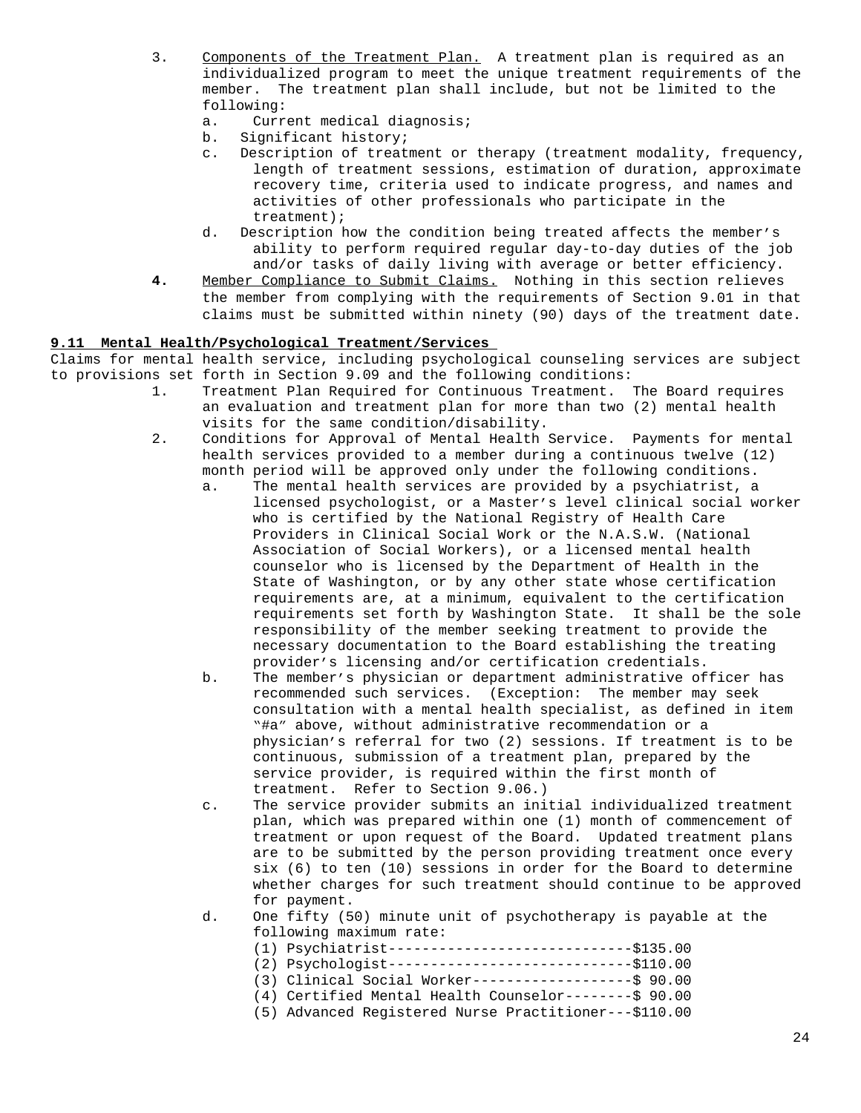- 3. Components of the Treatment Plan. A treatment plan is required as an individualized program to meet the unique treatment requirements of the member. The treatment plan shall include, but not be limited to the following:
	- a. Current medical diagnosis;
	- b. Significant history;
	- c. Description of treatment or therapy (treatment modality, frequency, length of treatment sessions, estimation of duration, approximate recovery time, criteria used to indicate progress, and names and activities of other professionals who participate in the treatment);
	- d. Description how the condition being treated affects the member's ability to perform required regular day-to-day duties of the job and/or tasks of daily living with average or better efficiency.
- **4.** Member Compliance to Submit Claims. Nothing in this section relieves the member from complying with the requirements of Section 9.01 in that claims must be submitted within ninety (90) days of the treatment date.

## **9.11 Mental Health/Psychological Treatment/Services**

Claims for mental health service, including psychological counseling services are subject to provisions set forth in Section 9.09 and the following conditions:

- 1. Treatment Plan Required for Continuous Treatment. The Board requires an evaluation and treatment plan for more than two (2) mental health visits for the same condition/disability.
- 2. Conditions for Approval of Mental Health Service. Payments for mental health services provided to a member during a continuous twelve (12) month period will be approved only under the following conditions.
	- a. The mental health services are provided by a psychiatrist, a licensed psychologist, or a Master's level clinical social worker who is certified by the National Registry of Health Care Providers in Clinical Social Work or the N.A.S.W. (National Association of Social Workers), or a licensed mental health counselor who is licensed by the Department of Health in the State of Washington, or by any other state whose certification requirements are, at a minimum, equivalent to the certification requirements set forth by Washington State. It shall be the sole responsibility of the member seeking treatment to provide the necessary documentation to the Board establishing the treating provider's licensing and/or certification credentials.
	- b. The member's physician or department administrative officer has recommended such services. (Exception: The member may seek consultation with a mental health specialist, as defined in item "#a" above, without administrative recommendation or a physician's referral for two (2) sessions. If treatment is to be continuous, submission of a treatment plan, prepared by the service provider, is required within the first month of treatment. Refer to Section 9.06.)
	- c. The service provider submits an initial individualized treatment plan, which was prepared within one (1) month of commencement of treatment or upon request of the Board. Updated treatment plans are to be submitted by the person providing treatment once every six (6) to ten (10) sessions in order for the Board to determine whether charges for such treatment should continue to be approved for payment.
	- d. One fifty (50) minute unit of psychotherapy is payable at the following maximum rate:
		- (1) Psychiatrist-----------------------------\$135.00 (2) Psychologist-----------------------------\$110.00
		- (3) Clinical Social Worker-------------------\$ 90.00
		- (4) Certified Mental Health Counselor--------\$ 90.00
		- (5) Advanced Registered Nurse Practitioner---\$110.00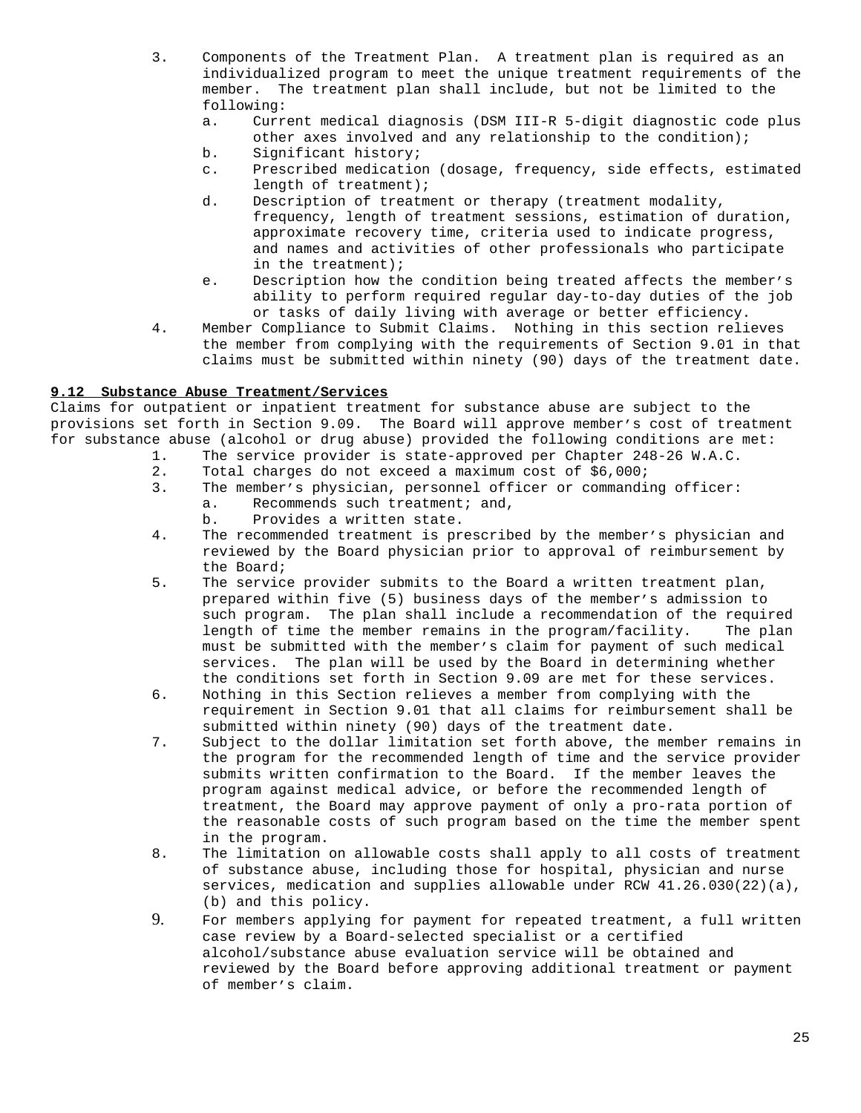- 3. Components of the Treatment Plan. A treatment plan is required as an individualized program to meet the unique treatment requirements of the member. The treatment plan shall include, but not be limited to the following:
	- a. Current medical diagnosis (DSM III-R 5-digit diagnostic code plus other axes involved and any relationship to the condition);
	- b. Significant history;
	- c. Prescribed medication (dosage, frequency, side effects, estimated length of treatment);
	- d. Description of treatment or therapy (treatment modality, frequency, length of treatment sessions, estimation of duration, approximate recovery time, criteria used to indicate progress, and names and activities of other professionals who participate in the treatment);
	- e. Description how the condition being treated affects the member's ability to perform required regular day-to-day duties of the job or tasks of daily living with average or better efficiency.
- 4. Member Compliance to Submit Claims. Nothing in this section relieves the member from complying with the requirements of Section 9.01 in that claims must be submitted within ninety (90) days of the treatment date.

## **9.12 Substance Abuse Treatment/Services**

Claims for outpatient or inpatient treatment for substance abuse are subject to the provisions set forth in Section 9.09. The Board will approve member's cost of treatment for substance abuse (alcohol or drug abuse) provided the following conditions are met:

- 1. The service provider is state-approved per Chapter 248-26 W.A.C.
- 2. Total charges do not exceed a maximum cost of \$6,000;
- 3. The member's physician, personnel officer or commanding officer:
	- a. Recommends such treatment; and,
		- b. Provides a written state.
- 4. The recommended treatment is prescribed by the member's physician and reviewed by the Board physician prior to approval of reimbursement by the Board;
- 5. The service provider submits to the Board a written treatment plan, prepared within five (5) business days of the member's admission to such program. The plan shall include a recommendation of the required length of time the member remains in the program/facility. The plan must be submitted with the member's claim for payment of such medical services. The plan will be used by the Board in determining whether the conditions set forth in Section 9.09 are met for these services.
- 6. Nothing in this Section relieves a member from complying with the requirement in Section 9.01 that all claims for reimbursement shall be submitted within ninety (90) days of the treatment date.
- 7. Subject to the dollar limitation set forth above, the member remains in the program for the recommended length of time and the service provider submits written confirmation to the Board. If the member leaves the program against medical advice, or before the recommended length of treatment, the Board may approve payment of only a pro-rata portion of the reasonable costs of such program based on the time the member spent in the program.
- 8. The limitation on allowable costs shall apply to all costs of treatment of substance abuse, including those for hospital, physician and nurse services, medication and supplies allowable under RCW 41.26.030(22)(a), (b) and this policy.
- 9. For members applying for payment for repeated treatment, a full written case review by a Board-selected specialist or a certified alcohol/substance abuse evaluation service will be obtained and reviewed by the Board before approving additional treatment or payment of member's claim.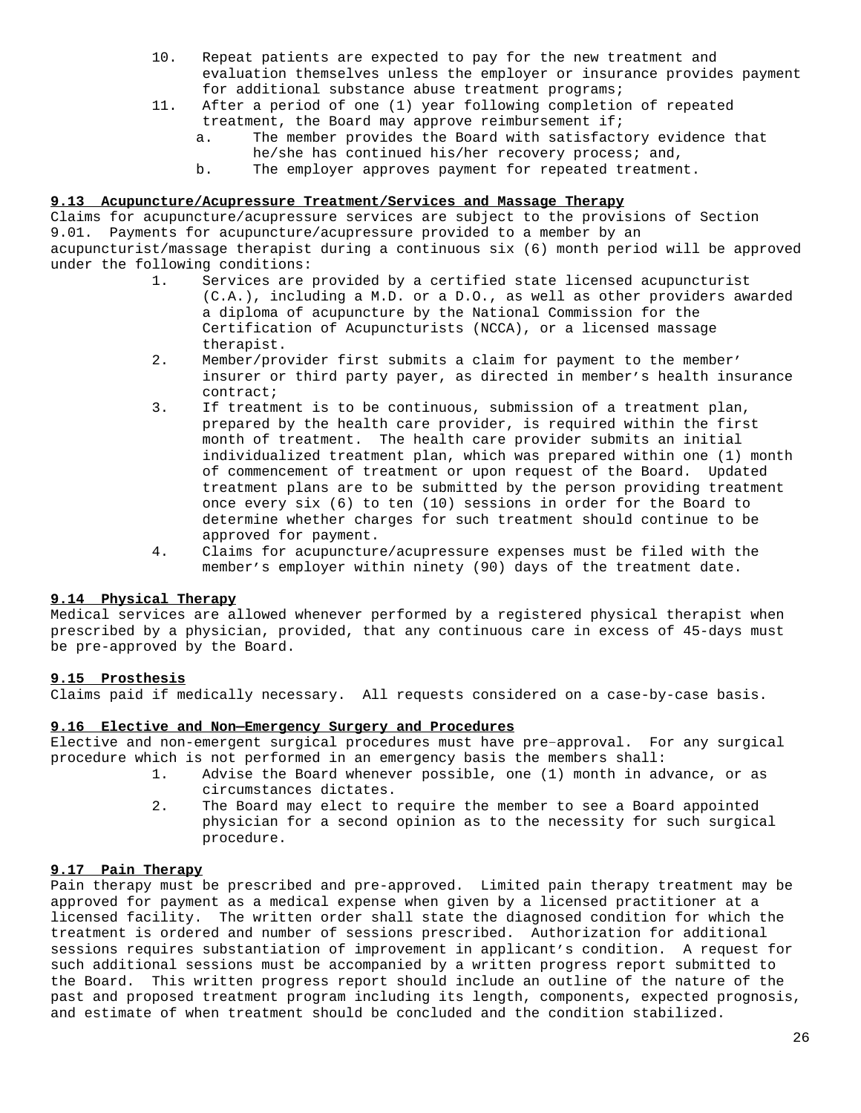- 10. Repeat patients are expected to pay for the new treatment and evaluation themselves unless the employer or insurance provides payment for additional substance abuse treatment programs;
- 11. After a period of one (1) year following completion of repeated treatment, the Board may approve reimbursement if;
	- a. The member provides the Board with satisfactory evidence that he/she has continued his/her recovery process; and,
	- b. The employer approves payment for repeated treatment.

## **9.13 Acupuncture/Acupressure Treatment/Services and Massage Therapy**

Claims for acupuncture/acupressure services are subject to the provisions of Section 9.01. Payments for acupuncture/acupressure provided to a member by an acupuncturist/massage therapist during a continuous six (6) month period will be approved under the following conditions:

- 1. Services are provided by a certified state licensed acupuncturist (C.A.), including a M.D. or a D.O., as well as other providers awarded a diploma of acupuncture by the National Commission for the Certification of Acupuncturists (NCCA), or a licensed massage therapist.
- 2. Member/provider first submits a claim for payment to the member' insurer or third party payer, as directed in member's health insurance contract;
- 3. If treatment is to be continuous, submission of a treatment plan, prepared by the health care provider, is required within the first month of treatment. The health care provider submits an initial individualized treatment plan, which was prepared within one (1) month of commencement of treatment or upon request of the Board. Updated treatment plans are to be submitted by the person providing treatment once every six (6) to ten (10) sessions in order for the Board to determine whether charges for such treatment should continue to be approved for payment.
- 4. Claims for acupuncture/acupressure expenses must be filed with the member's employer within ninety (90) days of the treatment date.

### **9.14 Physical Therapy**

Medical services are allowed whenever performed by a registered physical therapist when prescribed by a physician, provided, that any continuous care in excess of 45-days must be pre-approved by the Board.

### **9.15 Prosthesis**

Claims paid if medically necessary. All requests considered on a case-by-case basis.

### **9.16 Elective and Non—Emergency Surgery and Procedures**

Elective and non-emergent surgical procedures must have pre–approval. For any surgical procedure which is not performed in an emergency basis the members shall:

- 1. Advise the Board whenever possible, one (1) month in advance, or as circumstances dictates.
- 2. The Board may elect to require the member to see a Board appointed physician for a second opinion as to the necessity for such surgical procedure.

### **9.17 Pain Therapy**

Pain therapy must be prescribed and pre-approved. Limited pain therapy treatment may be approved for payment as a medical expense when given by a licensed practitioner at a licensed facility. The written order shall state the diagnosed condition for which the treatment is ordered and number of sessions prescribed. Authorization for additional sessions requires substantiation of improvement in applicant's condition. A request for such additional sessions must be accompanied by a written progress report submitted to the Board. This written progress report should include an outline of the nature of the past and proposed treatment program including its length, components, expected prognosis, and estimate of when treatment should be concluded and the condition stabilized.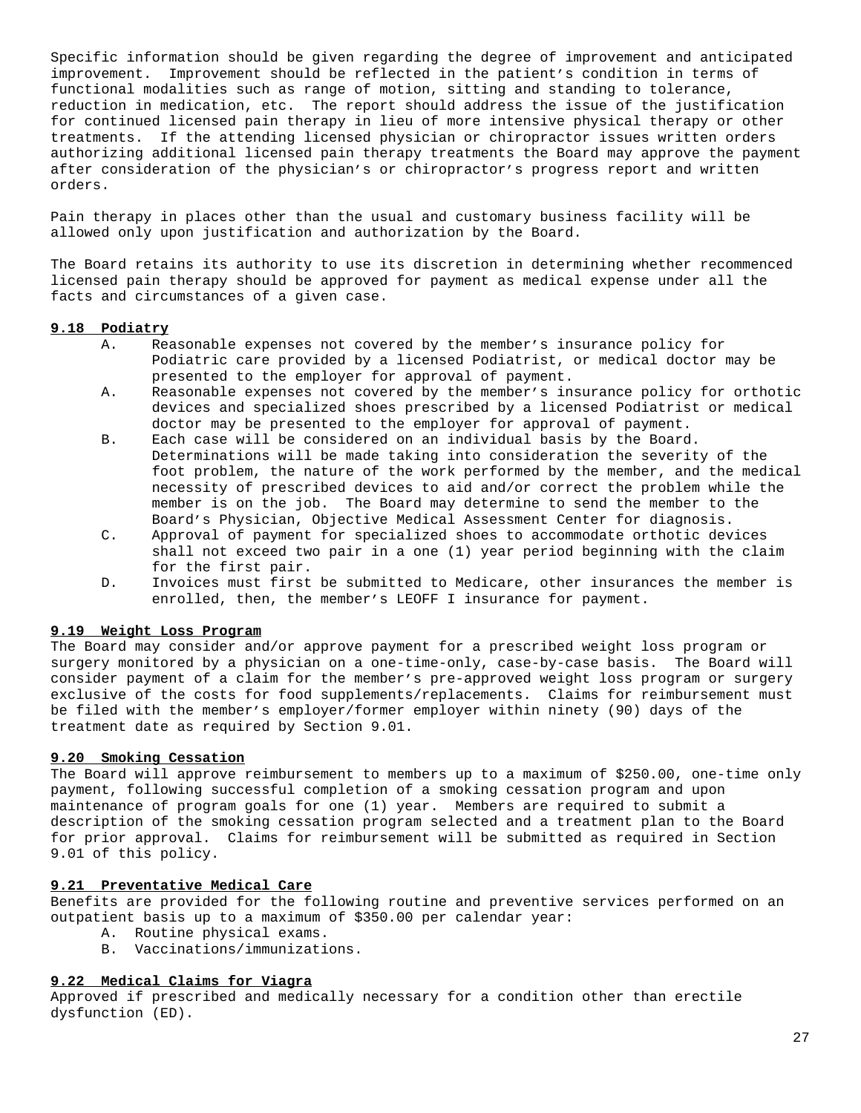Specific information should be given regarding the degree of improvement and anticipated improvement. Improvement should be reflected in the patient's condition in terms of functional modalities such as range of motion, sitting and standing to tolerance, reduction in medication, etc. The report should address the issue of the justification for continued licensed pain therapy in lieu of more intensive physical therapy or other treatments. If the attending licensed physician or chiropractor issues written orders authorizing additional licensed pain therapy treatments the Board may approve the payment after consideration of the physician's or chiropractor's progress report and written orders.

Pain therapy in places other than the usual and customary business facility will be allowed only upon justification and authorization by the Board.

The Board retains its authority to use its discretion in determining whether recommenced licensed pain therapy should be approved for payment as medical expense under all the facts and circumstances of a given case.

## **9.18 Podiatry**

- A. Reasonable expenses not covered by the member's insurance policy for Podiatric care provided by a licensed Podiatrist, or medical doctor may be presented to the employer for approval of payment.
- A. Reasonable expenses not covered by the member's insurance policy for orthotic devices and specialized shoes prescribed by a licensed Podiatrist or medical doctor may be presented to the employer for approval of payment.
- B. Each case will be considered on an individual basis by the Board. Determinations will be made taking into consideration the severity of the foot problem, the nature of the work performed by the member, and the medical necessity of prescribed devices to aid and/or correct the problem while the member is on the job. The Board may determine to send the member to the Board's Physician, Objective Medical Assessment Center for diagnosis.
- C. Approval of payment for specialized shoes to accommodate orthotic devices shall not exceed two pair in a one (1) year period beginning with the claim for the first pair.
- D. Invoices must first be submitted to Medicare, other insurances the member is enrolled, then, the member's LEOFF I insurance for payment.

## **9.19 Weight Loss Program**

The Board may consider and/or approve payment for a prescribed weight loss program or surgery monitored by a physician on a one-time-only, case-by-case basis. The Board will consider payment of a claim for the member's pre-approved weight loss program or surgery exclusive of the costs for food supplements/replacements. Claims for reimbursement must be filed with the member's employer/former employer within ninety (90) days of the treatment date as required by Section 9.01.

## **9.20 Smoking Cessation**

The Board will approve reimbursement to members up to a maximum of \$250.00, one-time only payment, following successful completion of a smoking cessation program and upon maintenance of program goals for one (1) year. Members are required to submit a description of the smoking cessation program selected and a treatment plan to the Board for prior approval. Claims for reimbursement will be submitted as required in Section 9.01 of this policy.

#### **9.21 Preventative Medical Care**

Benefits are provided for the following routine and preventive services performed on an outpatient basis up to a maximum of \$350.00 per calendar year:

- A. Routine physical exams.
- B. Vaccinations/immunizations.

## **9.22 Medical Claims for Viagra**

Approved if prescribed and medically necessary for a condition other than erectile dysfunction (ED).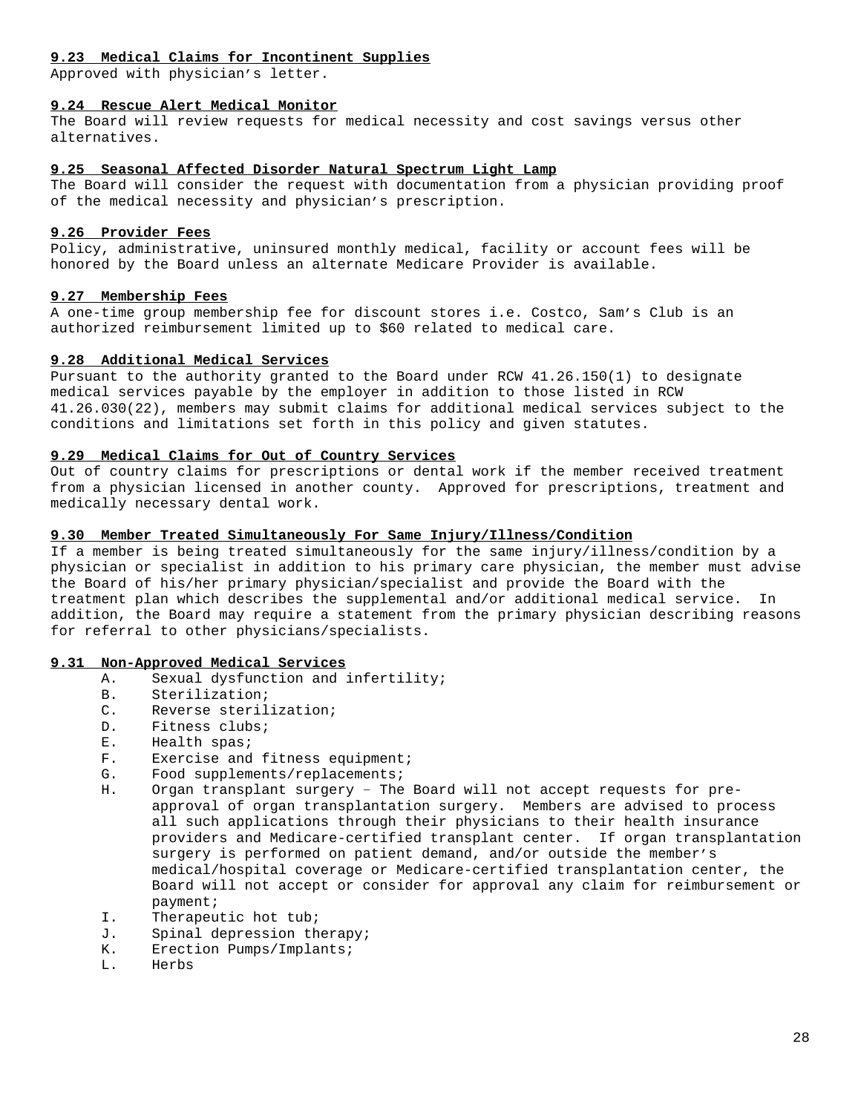## **9.23 Medical Claims for Incontinent Supplies**

Approved with physician's letter.

## **9.24 Rescue Alert Medical Monitor**

The Board will review requests for medical necessity and cost savings versus other alternatives.

## **9.25 Seasonal Affected Disorder Natural Spectrum Light Lamp**

The Board will consider the request with documentation from a physician providing proof of the medical necessity and physician's prescription.

## **9.26 Provider Fees**

Policy, administrative, uninsured monthly medical, facility or account fees will be honored by the Board unless an alternate Medicare Provider is available.

## **9.27 Membership Fees**

A one-time group membership fee for discount stores i.e. Costco, Sam's Club is an authorized reimbursement limited up to \$60 related to medical care.

## **9.28 Additional Medical Services**

Pursuant to the authority granted to the Board under RCW 41.26.150(1) to designate medical services payable by the employer in addition to those listed in RCW 41.26.030(22), members may submit claims for additional medical services subject to the conditions and limitations set forth in this policy and given statutes.

## **9.29 Medical Claims for Out of Country Services**

Out of country claims for prescriptions or dental work if the member received treatment from a physician licensed in another county. Approved for prescriptions, treatment and medically necessary dental work.

## **9.30 Member Treated Simultaneously For Same Injury/Illness/Condition**

If a member is being treated simultaneously for the same injury/illness/condition by a physician or specialist in addition to his primary care physician, the member must advise the Board of his/her primary physician/specialist and provide the Board with the treatment plan which describes the supplemental and/or additional medical service. In addition, the Board may require a statement from the primary physician describing reasons for referral to other physicians/specialists.

# **9.31 Non-Approved Medical Services**

- A. Sexual dysfunction and infertility;
- B. Sterilization;<br>C. Reverse steril
- Reverse sterilization;
- D. Fitness clubs;
- E. Health spas;
- F. Exercise and fitness equipment;
- G. Food supplements/replacements;
- H. Organ transplant surgery The Board will not accept requests for preapproval of organ transplantation surgery. Members are advised to process all such applications through their physicians to their health insurance providers and Medicare-certified transplant center. If organ transplantation surgery is performed on patient demand, and/or outside the member's medical/hospital coverage or Medicare-certified transplantation center, the Board will not accept or consider for approval any claim for reimbursement or payment;
- I. Therapeutic hot tub;
- J. Spinal depression therapy;
- K. Erection Pumps/Implants;
- L. Herbs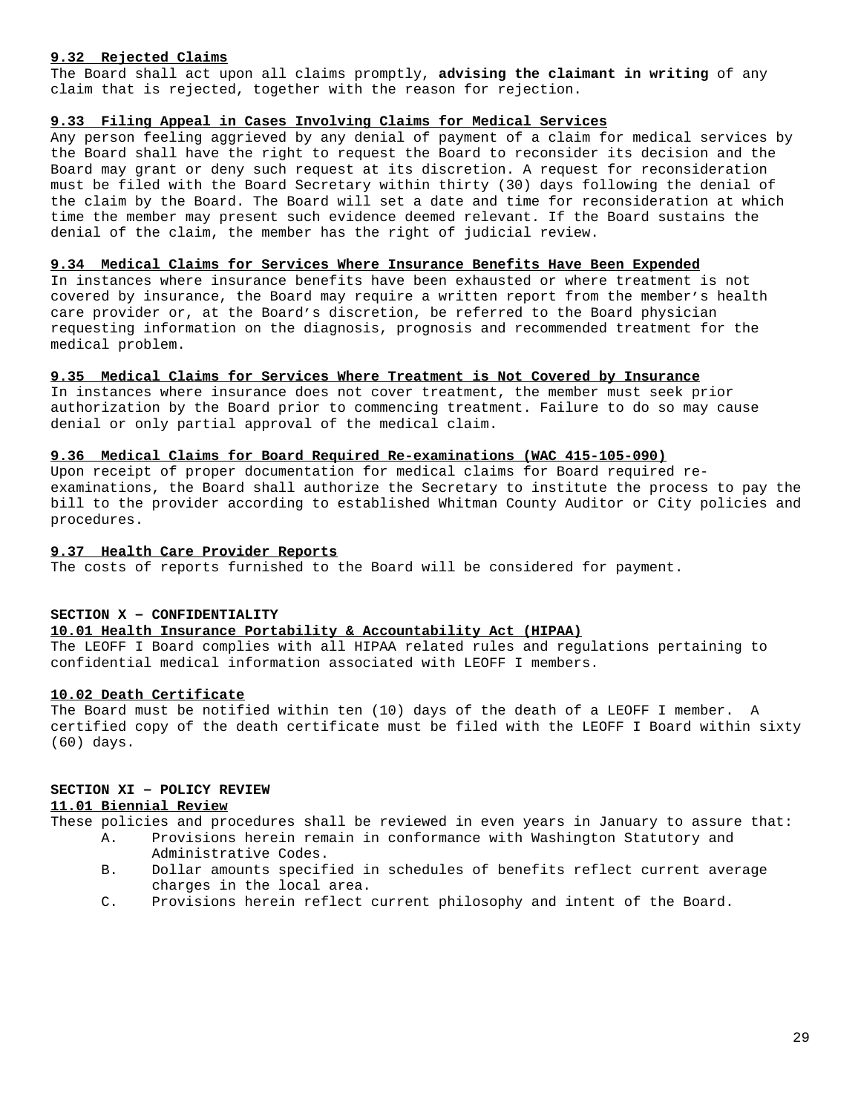### **9.32 Rejected Claims**

The Board shall act upon all claims promptly, **advising the claimant in writing** of any claim that is rejected, together with the reason for rejection.

## **9.33 Filing Appeal in Cases Involving Claims for Medical Services**

Any person feeling aggrieved by any denial of payment of a claim for medical services by the Board shall have the right to request the Board to reconsider its decision and the Board may grant or deny such request at its discretion. A request for reconsideration must be filed with the Board Secretary within thirty (30) days following the denial of the claim by the Board. The Board will set a date and time for reconsideration at which time the member may present such evidence deemed relevant. If the Board sustains the denial of the claim, the member has the right of judicial review.

## **9.34 Medical Claims for Services Where Insurance Benefits Have Been Expended**

In instances where insurance benefits have been exhausted or where treatment is not covered by insurance, the Board may require a written report from the member's health care provider or, at the Board's discretion, be referred to the Board physician requesting information on the diagnosis, prognosis and recommended treatment for the medical problem.

#### **9.35 Medical Claims for Services Where Treatment is Not Covered by Insurance**

In instances where insurance does not cover treatment, the member must seek prior authorization by the Board prior to commencing treatment. Failure to do so may cause denial or only partial approval of the medical claim.

## **9.36 Medical Claims for Board Required Re-examinations (WAC 415-105-090)**

Upon receipt of proper documentation for medical claims for Board required reexaminations, the Board shall authorize the Secretary to institute the process to pay the bill to the provider according to established Whitman County Auditor or City policies and procedures.

### **9.37 Health Care Provider Reports**

The costs of reports furnished to the Board will be considered for payment.

### **SECTION X – CONFIDENTIALITY**

### **10.01 Health Insurance Portability & Accountability Act (HIPAA)**

The LEOFF I Board complies with all HIPAA related rules and regulations pertaining to confidential medical information associated with LEOFF I members.

## **10.02 Death Certificate**

The Board must be notified within ten (10) days of the death of a LEOFF I member. A certified copy of the death certificate must be filed with the LEOFF I Board within sixty (60) days.

## **SECTION XI – POLICY REVIEW**

## **11.01 Biennial Review**

- These policies and procedures shall be reviewed in even years in January to assure that: A. Provisions herein remain in conformance with Washington Statutory and
	- Administrative Codes.
	- B. Dollar amounts specified in schedules of benefits reflect current average charges in the local area.
	- C. Provisions herein reflect current philosophy and intent of the Board.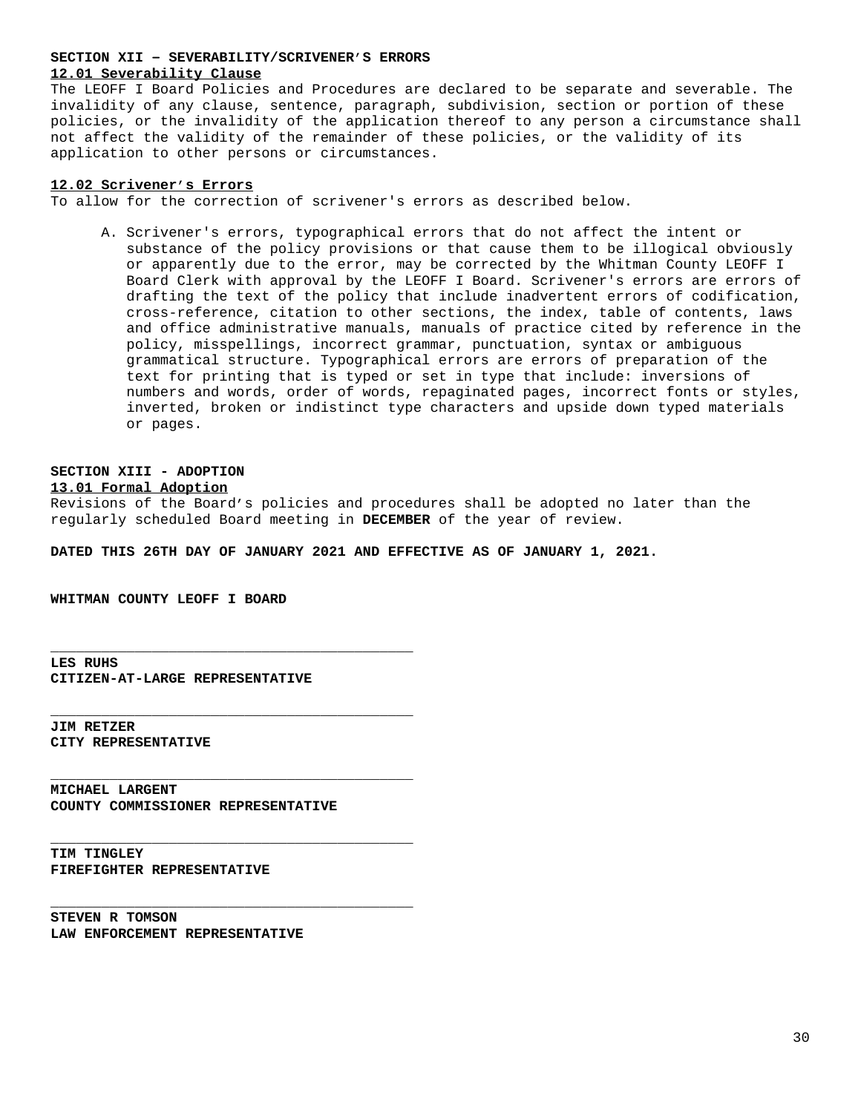### **SECTION XII – SEVERABILITY/SCRIVENER'S ERRORS 12.01 Severability Clause**

The LEOFF I Board Policies and Procedures are declared to be separate and severable. The invalidity of any clause, sentence, paragraph, subdivision, section or portion of these policies, or the invalidity of the application thereof to any person a circumstance shall not affect the validity of the remainder of these policies, or the validity of its application to other persons or circumstances.

## **12.02 Scrivener's Errors**

To allow for the correction of scrivener's errors as described below.

A. Scrivener's errors, typographical errors that do not affect the intent or substance of the policy provisions or that cause them to be illogical obviously or apparently due to the error, may be corrected by the Whitman County LEOFF I Board Clerk with approval by the LEOFF I Board. Scrivener's errors are errors of drafting the text of the policy that include inadvertent errors of codification, cross-reference, citation to other sections, the index, table of contents, laws and office administrative manuals, manuals of practice cited by reference in the policy, misspellings, incorrect grammar, punctuation, syntax or ambiguous grammatical structure. Typographical errors are errors of preparation of the text for printing that is typed or set in type that include: inversions of numbers and words, order of words, repaginated pages, incorrect fonts or styles, inverted, broken or indistinct type characters and upside down typed materials or pages.

# **SECTION XIII - ADOPTION**

## **13.01 Formal Adoption**

Revisions of the Board's policies and procedures shall be adopted no later than the regularly scheduled Board meeting in **DECEMBER** of the year of review.

**DATED THIS 26TH DAY OF JANUARY 2021 AND EFFECTIVE AS OF JANUARY 1, 2021.**

**WHITMAN COUNTY LEOFF I BOARD**

**LES RUHS CITIZEN-AT-LARGE REPRESENTATIVE**

**\_\_\_\_\_\_\_\_\_\_\_\_\_\_\_\_\_\_\_\_\_\_\_\_\_\_\_\_\_\_\_\_\_\_\_\_\_\_\_\_\_\_\_**

**\_\_\_\_\_\_\_\_\_\_\_\_\_\_\_\_\_\_\_\_\_\_\_\_\_\_\_\_\_\_\_\_\_\_\_\_\_\_\_\_\_\_\_**

**\_\_\_\_\_\_\_\_\_\_\_\_\_\_\_\_\_\_\_\_\_\_\_\_\_\_\_\_\_\_\_\_\_\_\_\_\_\_\_\_\_\_\_**

**\_\_\_\_\_\_\_\_\_\_\_\_\_\_\_\_\_\_\_\_\_\_\_\_\_\_\_\_\_\_\_\_\_\_\_\_\_\_\_\_\_\_\_**

**\_\_\_\_\_\_\_\_\_\_\_\_\_\_\_\_\_\_\_\_\_\_\_\_\_\_\_\_\_\_\_\_\_\_\_\_\_\_\_\_\_\_\_**

**JIM RETZER CITY REPRESENTATIVE**

**MICHAEL LARGENT COUNTY COMMISSIONER REPRESENTATIVE**

**TIM TINGLEY FIREFIGHTER REPRESENTATIVE**

**STEVEN R TOMSON LAW ENFORCEMENT REPRESENTATIVE**